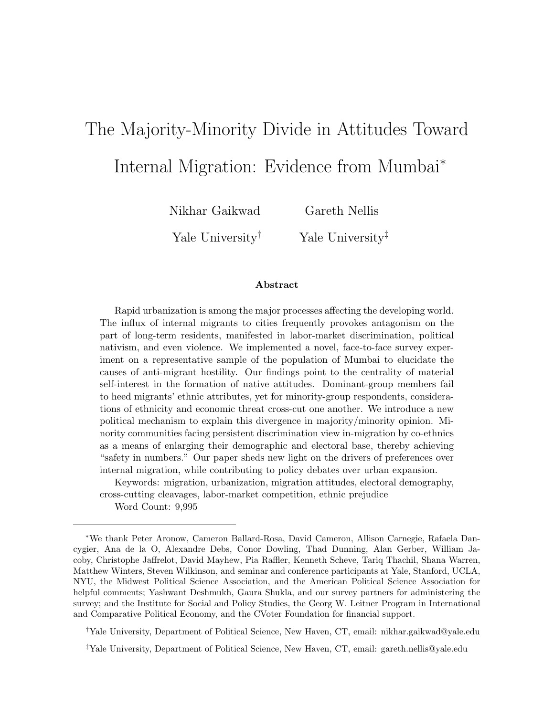# The Majority-Minority Divide in Attitudes Toward Internal Migration: Evidence from Mumbai<sup>∗</sup>

Nikhar Gaikwad Yale University† Gareth Nellis Yale University<sup>‡</sup>

#### Abstract

Rapid urbanization is among the major processes affecting the developing world. The influx of internal migrants to cities frequently provokes antagonism on the part of long-term residents, manifested in labor-market discrimination, political nativism, and even violence. We implemented a novel, face-to-face survey experiment on a representative sample of the population of Mumbai to elucidate the causes of anti-migrant hostility. Our findings point to the centrality of material self-interest in the formation of native attitudes. Dominant-group members fail to heed migrants' ethnic attributes, yet for minority-group respondents, considerations of ethnicity and economic threat cross-cut one another. We introduce a new political mechanism to explain this divergence in majority/minority opinion. Minority communities facing persistent discrimination view in-migration by co-ethnics as a means of enlarging their demographic and electoral base, thereby achieving "safety in numbers." Our paper sheds new light on the drivers of preferences over internal migration, while contributing to policy debates over urban expansion.

Keywords: migration, urbanization, migration attitudes, electoral demography, cross-cutting cleavages, labor-market competition, ethnic prejudice

Word Count: 9,995

†Yale University, Department of Political Science, New Haven, CT, email: nikhar.gaikwad@yale.edu

<sup>∗</sup>We thank Peter Aronow, Cameron Ballard-Rosa, David Cameron, Allison Carnegie, Rafaela Dancygier, Ana de la O, Alexandre Debs, Conor Dowling, Thad Dunning, Alan Gerber, William Jacoby, Christophe Jaffrelot, David Mayhew, Pia Raffler, Kenneth Scheve, Tariq Thachil, Shana Warren, Matthew Winters, Steven Wilkinson, and seminar and conference participants at Yale, Stanford, UCLA, NYU, the Midwest Political Science Association, and the American Political Science Association for helpful comments; Yashwant Deshmukh, Gaura Shukla, and our survey partners for administering the survey; and the Institute for Social and Policy Studies, the Georg W. Leitner Program in International and Comparative Political Economy, and the CVoter Foundation for financial support.

<sup>‡</sup>Yale University, Department of Political Science, New Haven, CT, email: gareth.nellis@yale.edu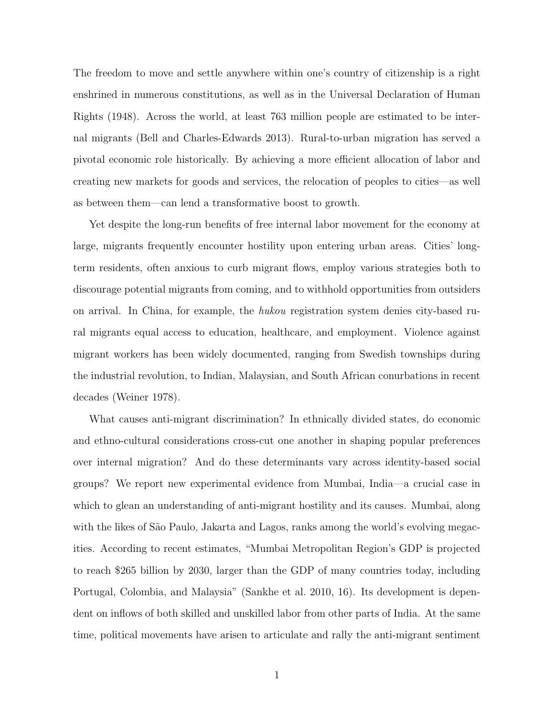The freedom to move and settle anywhere within one's country of citizenship is a right enshrined in numerous constitutions, as well as in the Universal Declaration of Human Rights (1948). Across the world, at least 763 million people are estimated to be internal migrants (Bell and Charles-Edwards 2013). Rural-to-urban migration has served a pivotal economic role historically. By achieving a more efficient allocation of labor and creating new markets for goods and services, the relocation of peoples to cities—as well as between them—can lend a transformative boost to growth.

Yet despite the long-run benefits of free internal labor movement for the economy at large, migrants frequently encounter hostility upon entering urban areas. Cities' longterm residents, often anxious to curb migrant flows, employ various strategies both to discourage potential migrants from coming, and to withhold opportunities from outsiders on arrival. In China, for example, the hukou registration system denies city-based rural migrants equal access to education, healthcare, and employment. Violence against migrant workers has been widely documented, ranging from Swedish townships during the industrial revolution, to Indian, Malaysian, and South African conurbations in recent decades (Weiner 1978).

What causes anti-migrant discrimination? In ethnically divided states, do economic and ethno-cultural considerations cross-cut one another in shaping popular preferences over internal migration? And do these determinants vary across identity-based social groups? We report new experimental evidence from Mumbai, India—a crucial case in which to glean an understanding of anti-migrant hostility and its causes. Mumbai, along with the likes of São Paulo, Jakarta and Lagos, ranks among the world's evolving megacities. According to recent estimates, "Mumbai Metropolitan Region's GDP is projected to reach \$265 billion by 2030, larger than the GDP of many countries today, including Portugal, Colombia, and Malaysia" (Sankhe et al. 2010, 16). Its development is dependent on inflows of both skilled and unskilled labor from other parts of India. At the same time, political movements have arisen to articulate and rally the anti-migrant sentiment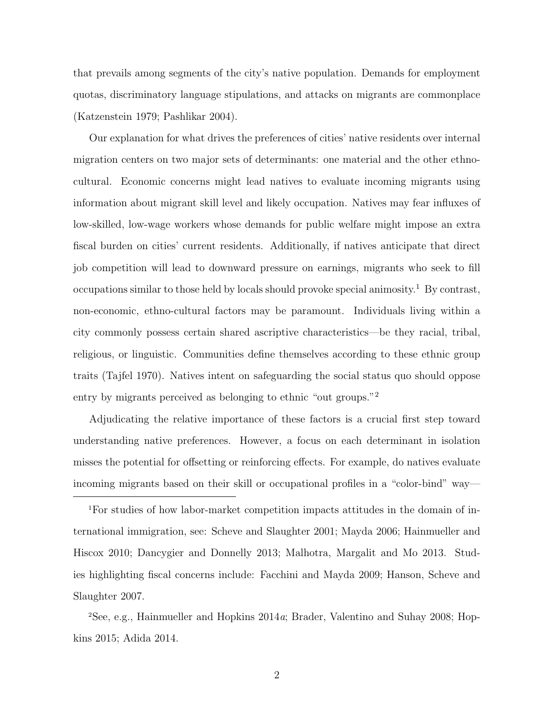that prevails among segments of the city's native population. Demands for employment quotas, discriminatory language stipulations, and attacks on migrants are commonplace (Katzenstein 1979; Pashlikar 2004).

Our explanation for what drives the preferences of cities' native residents over internal migration centers on two major sets of determinants: one material and the other ethnocultural. Economic concerns might lead natives to evaluate incoming migrants using information about migrant skill level and likely occupation. Natives may fear influxes of low-skilled, low-wage workers whose demands for public welfare might impose an extra fiscal burden on cities' current residents. Additionally, if natives anticipate that direct job competition will lead to downward pressure on earnings, migrants who seek to fill occupations similar to those held by locals should provoke special animosity.<sup>1</sup> By contrast, non-economic, ethno-cultural factors may be paramount. Individuals living within a city commonly possess certain shared ascriptive characteristics—be they racial, tribal, religious, or linguistic. Communities define themselves according to these ethnic group traits (Tajfel 1970). Natives intent on safeguarding the social status quo should oppose entry by migrants perceived as belonging to ethnic "out groups."<sup>2</sup>

Adjudicating the relative importance of these factors is a crucial first step toward understanding native preferences. However, a focus on each determinant in isolation misses the potential for offsetting or reinforcing effects. For example, do natives evaluate incoming migrants based on their skill or occupational profiles in a "color-bind" way—

1For studies of how labor-market competition impacts attitudes in the domain of international immigration, see: Scheve and Slaughter 2001; Mayda 2006; Hainmueller and Hiscox 2010; Dancygier and Donnelly 2013; Malhotra, Margalit and Mo 2013. Studies highlighting fiscal concerns include: Facchini and Mayda 2009; Hanson, Scheve and Slaughter 2007.

2See, e.g., Hainmueller and Hopkins 2014a; Brader, Valentino and Suhay 2008; Hopkins 2015; Adida 2014.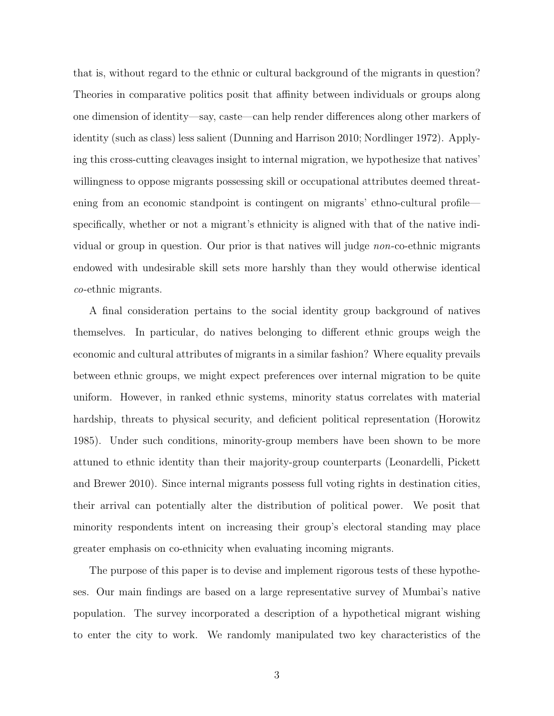that is, without regard to the ethnic or cultural background of the migrants in question? Theories in comparative politics posit that affinity between individuals or groups along one dimension of identity—say, caste—can help render differences along other markers of identity (such as class) less salient (Dunning and Harrison 2010; Nordlinger 1972). Applying this cross-cutting cleavages insight to internal migration, we hypothesize that natives' willingness to oppose migrants possessing skill or occupational attributes deemed threatening from an economic standpoint is contingent on migrants' ethno-cultural profile specifically, whether or not a migrant's ethnicity is aligned with that of the native individual or group in question. Our prior is that natives will judge *non*-co-ethnic migrants endowed with undesirable skill sets more harshly than they would otherwise identical co-ethnic migrants.

A final consideration pertains to the social identity group background of natives themselves. In particular, do natives belonging to different ethnic groups weigh the economic and cultural attributes of migrants in a similar fashion? Where equality prevails between ethnic groups, we might expect preferences over internal migration to be quite uniform. However, in ranked ethnic systems, minority status correlates with material hardship, threats to physical security, and deficient political representation (Horowitz 1985). Under such conditions, minority-group members have been shown to be more attuned to ethnic identity than their majority-group counterparts (Leonardelli, Pickett and Brewer 2010). Since internal migrants possess full voting rights in destination cities, their arrival can potentially alter the distribution of political power. We posit that minority respondents intent on increasing their group's electoral standing may place greater emphasis on co-ethnicity when evaluating incoming migrants.

The purpose of this paper is to devise and implement rigorous tests of these hypotheses. Our main findings are based on a large representative survey of Mumbai's native population. The survey incorporated a description of a hypothetical migrant wishing to enter the city to work. We randomly manipulated two key characteristics of the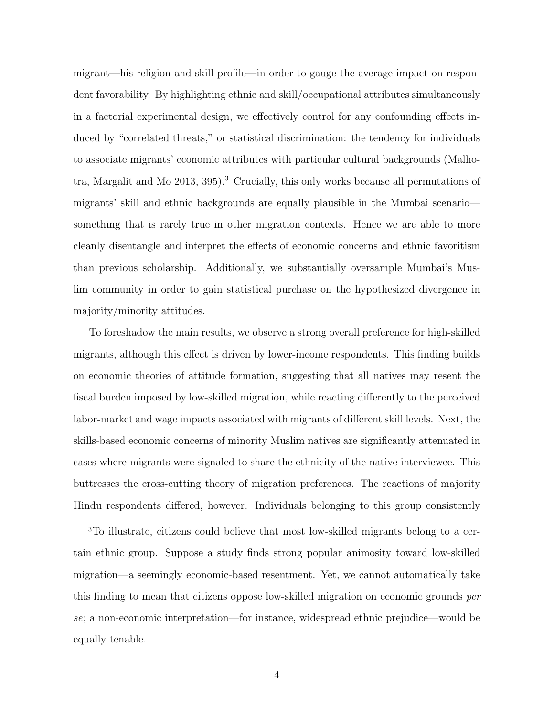migrant—his religion and skill profile—in order to gauge the average impact on respondent favorability. By highlighting ethnic and skill/occupational attributes simultaneously in a factorial experimental design, we effectively control for any confounding effects induced by "correlated threats," or statistical discrimination: the tendency for individuals to associate migrants' economic attributes with particular cultural backgrounds (Malhotra, Margalit and Mo 2013, 395).<sup>3</sup> Crucially, this only works because all permutations of migrants' skill and ethnic backgrounds are equally plausible in the Mumbai scenario something that is rarely true in other migration contexts. Hence we are able to more cleanly disentangle and interpret the effects of economic concerns and ethnic favoritism than previous scholarship. Additionally, we substantially oversample Mumbai's Muslim community in order to gain statistical purchase on the hypothesized divergence in majority/minority attitudes.

To foreshadow the main results, we observe a strong overall preference for high-skilled migrants, although this effect is driven by lower-income respondents. This finding builds on economic theories of attitude formation, suggesting that all natives may resent the fiscal burden imposed by low-skilled migration, while reacting differently to the perceived labor-market and wage impacts associated with migrants of different skill levels. Next, the skills-based economic concerns of minority Muslim natives are significantly attenuated in cases where migrants were signaled to share the ethnicity of the native interviewee. This buttresses the cross-cutting theory of migration preferences. The reactions of majority Hindu respondents differed, however. Individuals belonging to this group consistently

3To illustrate, citizens could believe that most low-skilled migrants belong to a certain ethnic group. Suppose a study finds strong popular animosity toward low-skilled migration—a seemingly economic-based resentment. Yet, we cannot automatically take this finding to mean that citizens oppose low-skilled migration on economic grounds *per* se; a non-economic interpretation—for instance, widespread ethnic prejudice—would be equally tenable.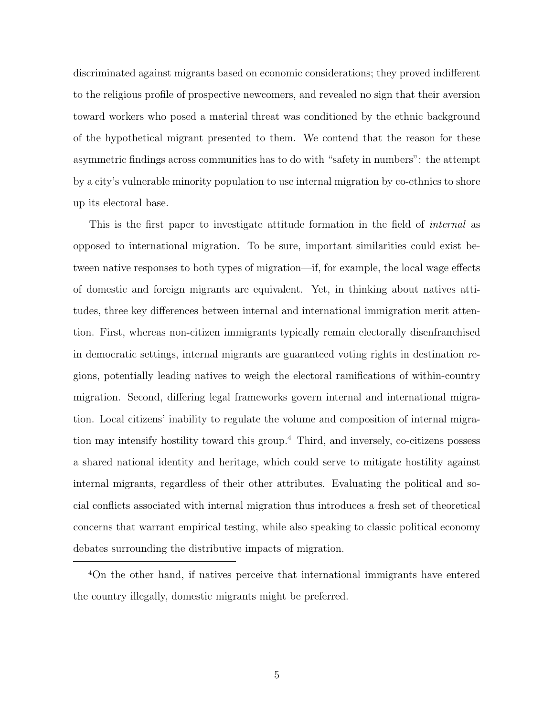discriminated against migrants based on economic considerations; they proved indifferent to the religious profile of prospective newcomers, and revealed no sign that their aversion toward workers who posed a material threat was conditioned by the ethnic background of the hypothetical migrant presented to them. We contend that the reason for these asymmetric findings across communities has to do with "safety in numbers": the attempt by a city's vulnerable minority population to use internal migration by co-ethnics to shore up its electoral base.

This is the first paper to investigate attitude formation in the field of internal as opposed to international migration. To be sure, important similarities could exist between native responses to both types of migration—if, for example, the local wage effects of domestic and foreign migrants are equivalent. Yet, in thinking about natives attitudes, three key differences between internal and international immigration merit attention. First, whereas non-citizen immigrants typically remain electorally disenfranchised in democratic settings, internal migrants are guaranteed voting rights in destination regions, potentially leading natives to weigh the electoral ramifications of within-country migration. Second, differing legal frameworks govern internal and international migration. Local citizens' inability to regulate the volume and composition of internal migration may intensify hostility toward this group.<sup>4</sup> Third, and inversely, co-citizens possess a shared national identity and heritage, which could serve to mitigate hostility against internal migrants, regardless of their other attributes. Evaluating the political and social conflicts associated with internal migration thus introduces a fresh set of theoretical concerns that warrant empirical testing, while also speaking to classic political economy debates surrounding the distributive impacts of migration.

<sup>4</sup>On the other hand, if natives perceive that international immigrants have entered the country illegally, domestic migrants might be preferred.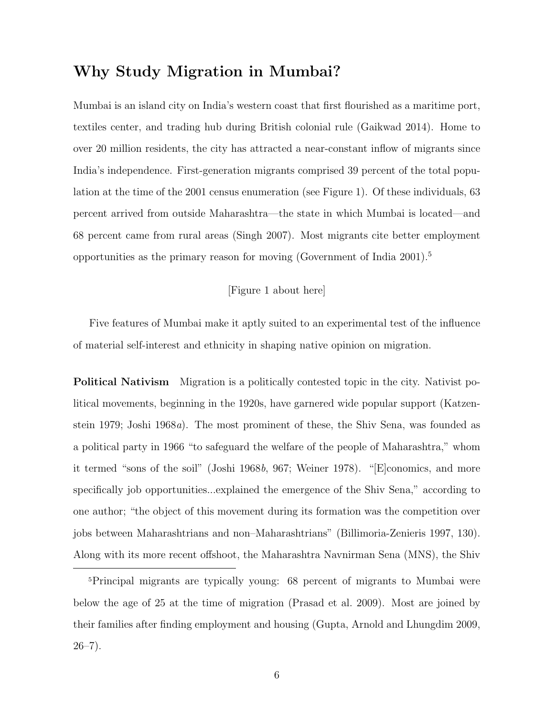# Why Study Migration in Mumbai?

Mumbai is an island city on India's western coast that first flourished as a maritime port, textiles center, and trading hub during British colonial rule (Gaikwad 2014). Home to over 20 million residents, the city has attracted a near-constant inflow of migrants since India's independence. First-generation migrants comprised 39 percent of the total population at the time of the 2001 census enumeration (see Figure 1). Of these individuals, 63 percent arrived from outside Maharashtra—the state in which Mumbai is located—and 68 percent came from rural areas (Singh 2007). Most migrants cite better employment opportunities as the primary reason for moving (Government of India 2001).<sup>5</sup>

#### [Figure 1 about here]

Five features of Mumbai make it aptly suited to an experimental test of the influence of material self-interest and ethnicity in shaping native opinion on migration.

Political Nativism Migration is a politically contested topic in the city. Nativist political movements, beginning in the 1920s, have garnered wide popular support (Katzenstein 1979; Joshi 1968a). The most prominent of these, the Shiv Sena, was founded as a political party in 1966 "to safeguard the welfare of the people of Maharashtra," whom it termed "sons of the soil" (Joshi 1968b, 967; Weiner 1978). "[E]conomics, and more specifically job opportunities...explained the emergence of the Shiv Sena," according to one author; "the object of this movement during its formation was the competition over jobs between Maharashtrians and non–Maharashtrians" (Billimoria-Zenieris 1997, 130). Along with its more recent offshoot, the Maharashtra Navnirman Sena (MNS), the Shiv

<sup>5</sup>Principal migrants are typically young: 68 percent of migrants to Mumbai were below the age of 25 at the time of migration (Prasad et al. 2009). Most are joined by their families after finding employment and housing (Gupta, Arnold and Lhungdim 2009,  $26 - 7$ ).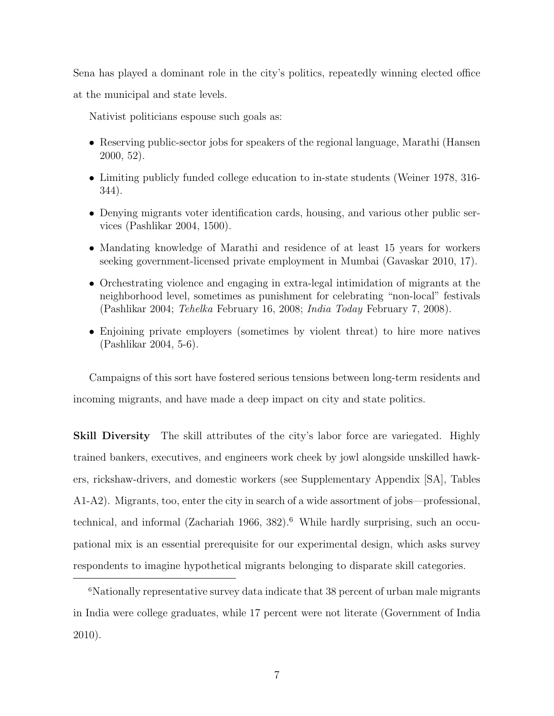Sena has played a dominant role in the city's politics, repeatedly winning elected office

at the municipal and state levels.

Nativist politicians espouse such goals as:

- Reserving public-sector jobs for speakers of the regional language, Marathi (Hansen 2000, 52).
- Limiting publicly funded college education to in-state students (Weiner 1978, 316- 344).
- Denying migrants voter identification cards, housing, and various other public services (Pashlikar 2004, 1500).
- Mandating knowledge of Marathi and residence of at least 15 years for workers seeking government-licensed private employment in Mumbai (Gavaskar 2010, 17).
- Orchestrating violence and engaging in extra-legal intimidation of migrants at the neighborhood level, sometimes as punishment for celebrating "non-local" festivals (Pashlikar 2004; Tehelka February 16, 2008; India Today February 7, 2008).
- Enjoining private employers (sometimes by violent threat) to hire more natives (Pashlikar 2004, 5-6).

Campaigns of this sort have fostered serious tensions between long-term residents and incoming migrants, and have made a deep impact on city and state politics.

Skill Diversity The skill attributes of the city's labor force are variegated. Highly trained bankers, executives, and engineers work cheek by jowl alongside unskilled hawkers, rickshaw-drivers, and domestic workers (see Supplementary Appendix [SA], Tables A1-A2). Migrants, too, enter the city in search of a wide assortment of jobs—professional, technical, and informal (Zachariah 1966, 382).<sup>6</sup> While hardly surprising, such an occupational mix is an essential prerequisite for our experimental design, which asks survey respondents to imagine hypothetical migrants belonging to disparate skill categories.

<sup>&</sup>lt;sup>6</sup>Nationally representative survey data indicate that 38 percent of urban male migrants in India were college graduates, while 17 percent were not literate (Government of India 2010).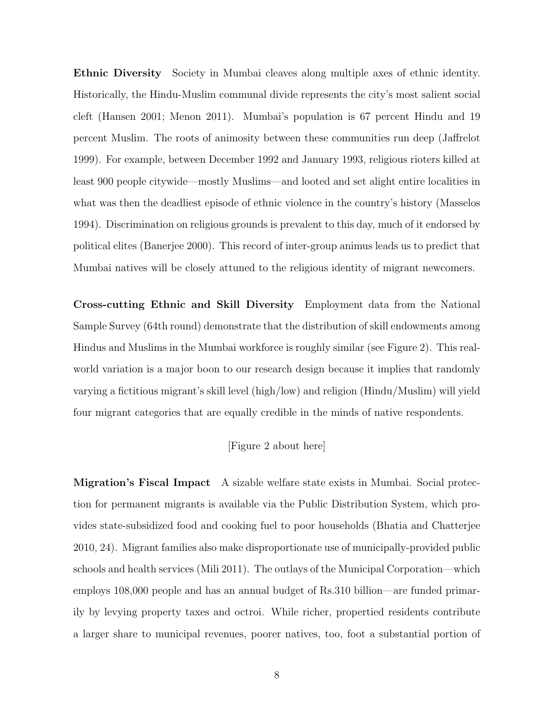Ethnic Diversity Society in Mumbai cleaves along multiple axes of ethnic identity. Historically, the Hindu-Muslim communal divide represents the city's most salient social cleft (Hansen 2001; Menon 2011). Mumbai's population is 67 percent Hindu and 19 percent Muslim. The roots of animosity between these communities run deep (Jaffrelot 1999). For example, between December 1992 and January 1993, religious rioters killed at least 900 people citywide—mostly Muslims—and looted and set alight entire localities in what was then the deadliest episode of ethnic violence in the country's history (Masselos 1994). Discrimination on religious grounds is prevalent to this day, much of it endorsed by political elites (Banerjee 2000). This record of inter-group animus leads us to predict that Mumbai natives will be closely attuned to the religious identity of migrant newcomers.

Cross-cutting Ethnic and Skill Diversity Employment data from the National Sample Survey (64th round) demonstrate that the distribution of skill endowments among Hindus and Muslims in the Mumbai workforce is roughly similar (see Figure 2). This realworld variation is a major boon to our research design because it implies that randomly varying a fictitious migrant's skill level (high/low) and religion (Hindu/Muslim) will yield four migrant categories that are equally credible in the minds of native respondents.

#### [Figure 2 about here]

Migration's Fiscal Impact A sizable welfare state exists in Mumbai. Social protection for permanent migrants is available via the Public Distribution System, which provides state-subsidized food and cooking fuel to poor households (Bhatia and Chatterjee 2010, 24). Migrant families also make disproportionate use of municipally-provided public schools and health services (Mili 2011). The outlays of the Municipal Corporation—which employs 108,000 people and has an annual budget of Rs.310 billion—are funded primarily by levying property taxes and octroi. While richer, propertied residents contribute a larger share to municipal revenues, poorer natives, too, foot a substantial portion of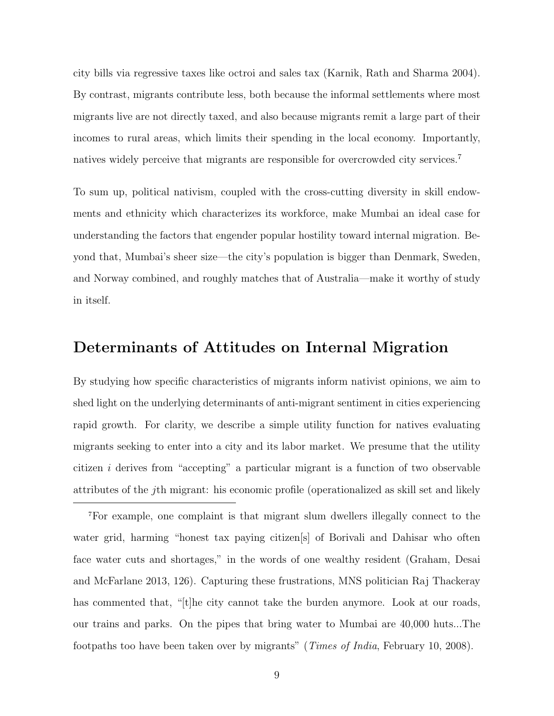city bills via regressive taxes like octroi and sales tax (Karnik, Rath and Sharma 2004). By contrast, migrants contribute less, both because the informal settlements where most migrants live are not directly taxed, and also because migrants remit a large part of their incomes to rural areas, which limits their spending in the local economy. Importantly, natives widely perceive that migrants are responsible for overcrowded city services.<sup>7</sup>

To sum up, political nativism, coupled with the cross-cutting diversity in skill endowments and ethnicity which characterizes its workforce, make Mumbai an ideal case for understanding the factors that engender popular hostility toward internal migration. Beyond that, Mumbai's sheer size—the city's population is bigger than Denmark, Sweden, and Norway combined, and roughly matches that of Australia—make it worthy of study in itself.

# Determinants of Attitudes on Internal Migration

By studying how specific characteristics of migrants inform nativist opinions, we aim to shed light on the underlying determinants of anti-migrant sentiment in cities experiencing rapid growth. For clarity, we describe a simple utility function for natives evaluating migrants seeking to enter into a city and its labor market. We presume that the utility citizen i derives from "accepting" a particular migrant is a function of two observable attributes of the jth migrant: his economic profile (operationalized as skill set and likely

<sup>7</sup>For example, one complaint is that migrant slum dwellers illegally connect to the water grid, harming "honest tax paying citizen[s] of Borivali and Dahisar who often face water cuts and shortages," in the words of one wealthy resident (Graham, Desai and McFarlane 2013, 126). Capturing these frustrations, MNS politician Raj Thackeray has commented that, "[t]he city cannot take the burden anymore. Look at our roads, our trains and parks. On the pipes that bring water to Mumbai are 40,000 huts...The footpaths too have been taken over by migrants" (Times of India, February 10, 2008).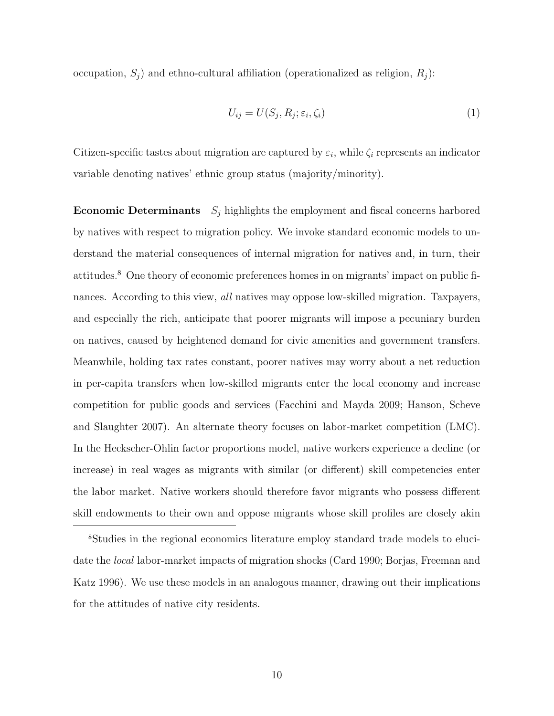occupation,  $S_j$ ) and ethno-cultural affiliation (operationalized as religion,  $R_j$ ):

$$
U_{ij} = U(S_j, R_j; \varepsilon_i, \zeta_i)
$$
\n<sup>(1)</sup>

Citizen-specific tastes about migration are captured by  $\varepsilon_i$ , while  $\zeta_i$  represents an indicator variable denoting natives' ethnic group status (majority/minority).

**Economic Determinants**  $S_j$  highlights the employment and fiscal concerns harbored by natives with respect to migration policy. We invoke standard economic models to understand the material consequences of internal migration for natives and, in turn, their attitudes.<sup>8</sup> One theory of economic preferences homes in on migrants' impact on public finances. According to this view, *all* natives may oppose low-skilled migration. Taxpayers, and especially the rich, anticipate that poorer migrants will impose a pecuniary burden on natives, caused by heightened demand for civic amenities and government transfers. Meanwhile, holding tax rates constant, poorer natives may worry about a net reduction in per-capita transfers when low-skilled migrants enter the local economy and increase competition for public goods and services (Facchini and Mayda 2009; Hanson, Scheve and Slaughter 2007). An alternate theory focuses on labor-market competition (LMC). In the Heckscher-Ohlin factor proportions model, native workers experience a decline (or increase) in real wages as migrants with similar (or different) skill competencies enter the labor market. Native workers should therefore favor migrants who possess different skill endowments to their own and oppose migrants whose skill profiles are closely akin

8Studies in the regional economics literature employ standard trade models to elucidate the local labor-market impacts of migration shocks (Card 1990; Borjas, Freeman and Katz 1996). We use these models in an analogous manner, drawing out their implications for the attitudes of native city residents.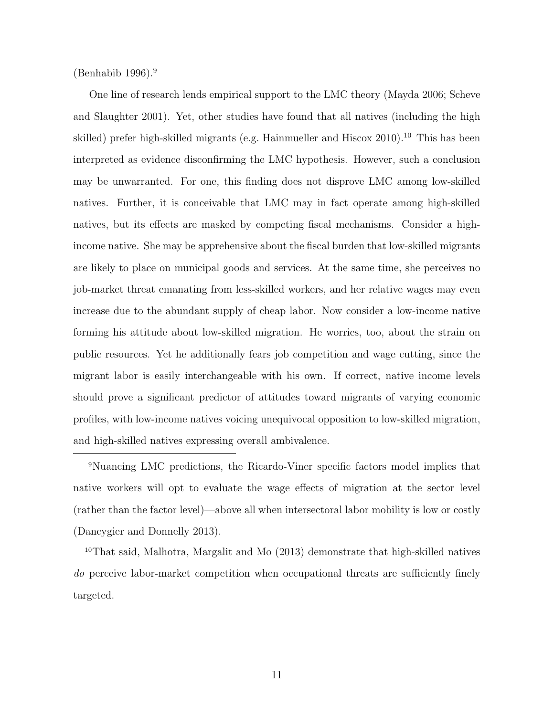$(Benhabib 1996).<sup>9</sup>$ 

One line of research lends empirical support to the LMC theory (Mayda 2006; Scheve and Slaughter 2001). Yet, other studies have found that all natives (including the high skilled) prefer high-skilled migrants (e.g. Hainmueller and Hiscox  $2010$ ).<sup>10</sup> This has been interpreted as evidence disconfirming the LMC hypothesis. However, such a conclusion may be unwarranted. For one, this finding does not disprove LMC among low-skilled natives. Further, it is conceivable that LMC may in fact operate among high-skilled natives, but its effects are masked by competing fiscal mechanisms. Consider a highincome native. She may be apprehensive about the fiscal burden that low-skilled migrants are likely to place on municipal goods and services. At the same time, she perceives no job-market threat emanating from less-skilled workers, and her relative wages may even increase due to the abundant supply of cheap labor. Now consider a low-income native forming his attitude about low-skilled migration. He worries, too, about the strain on public resources. Yet he additionally fears job competition and wage cutting, since the migrant labor is easily interchangeable with his own. If correct, native income levels should prove a significant predictor of attitudes toward migrants of varying economic profiles, with low-income natives voicing unequivocal opposition to low-skilled migration, and high-skilled natives expressing overall ambivalence.

<sup>9</sup>Nuancing LMC predictions, the Ricardo-Viner specific factors model implies that native workers will opt to evaluate the wage effects of migration at the sector level (rather than the factor level)—above all when intersectoral labor mobility is low or costly (Dancygier and Donnelly 2013).

<sup>10</sup>That said, Malhotra, Margalit and Mo (2013) demonstrate that high-skilled natives do perceive labor-market competition when occupational threats are sufficiently finely targeted.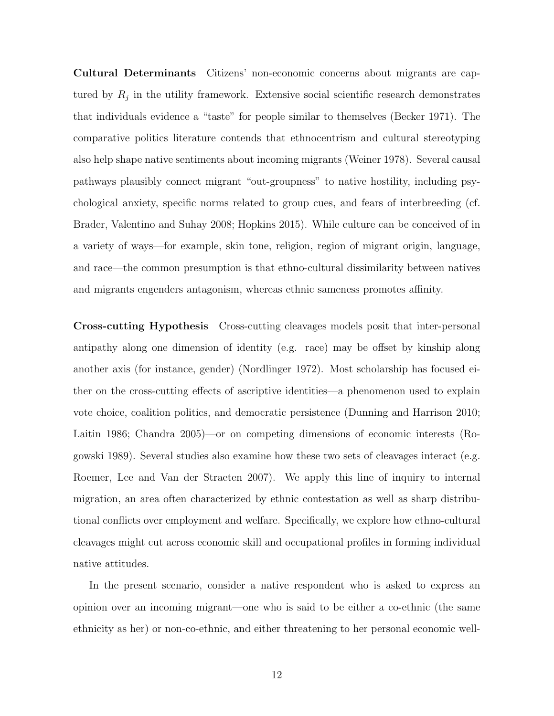Cultural Determinants Citizens' non-economic concerns about migrants are captured by  $R_j$  in the utility framework. Extensive social scientific research demonstrates that individuals evidence a "taste" for people similar to themselves (Becker 1971). The comparative politics literature contends that ethnocentrism and cultural stereotyping also help shape native sentiments about incoming migrants (Weiner 1978). Several causal pathways plausibly connect migrant "out-groupness" to native hostility, including psychological anxiety, specific norms related to group cues, and fears of interbreeding (cf. Brader, Valentino and Suhay 2008; Hopkins 2015). While culture can be conceived of in a variety of ways—for example, skin tone, religion, region of migrant origin, language, and race—the common presumption is that ethno-cultural dissimilarity between natives and migrants engenders antagonism, whereas ethnic sameness promotes affinity.

Cross-cutting Hypothesis Cross-cutting cleavages models posit that inter-personal antipathy along one dimension of identity (e.g. race) may be offset by kinship along another axis (for instance, gender) (Nordlinger 1972). Most scholarship has focused either on the cross-cutting effects of ascriptive identities—a phenomenon used to explain vote choice, coalition politics, and democratic persistence (Dunning and Harrison 2010; Laitin 1986; Chandra 2005)—or on competing dimensions of economic interests (Rogowski 1989). Several studies also examine how these two sets of cleavages interact (e.g. Roemer, Lee and Van der Straeten 2007). We apply this line of inquiry to internal migration, an area often characterized by ethnic contestation as well as sharp distributional conflicts over employment and welfare. Specifically, we explore how ethno-cultural cleavages might cut across economic skill and occupational profiles in forming individual native attitudes.

In the present scenario, consider a native respondent who is asked to express an opinion over an incoming migrant—one who is said to be either a co-ethnic (the same ethnicity as her) or non-co-ethnic, and either threatening to her personal economic well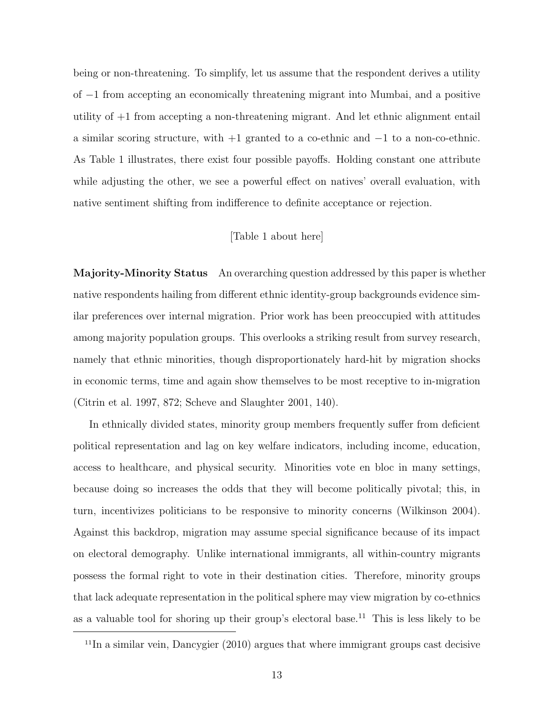being or non-threatening. To simplify, let us assume that the respondent derives a utility of −1 from accepting an economically threatening migrant into Mumbai, and a positive utility of +1 from accepting a non-threatening migrant. And let ethnic alignment entail a similar scoring structure, with +1 granted to a co-ethnic and −1 to a non-co-ethnic. As Table 1 illustrates, there exist four possible payoffs. Holding constant one attribute while adjusting the other, we see a powerful effect on natives' overall evaluation, with native sentiment shifting from indifference to definite acceptance or rejection.

#### [Table 1 about here]

Majority-Minority Status An overarching question addressed by this paper is whether native respondents hailing from different ethnic identity-group backgrounds evidence similar preferences over internal migration. Prior work has been preoccupied with attitudes among majority population groups. This overlooks a striking result from survey research, namely that ethnic minorities, though disproportionately hard-hit by migration shocks in economic terms, time and again show themselves to be most receptive to in-migration (Citrin et al. 1997, 872; Scheve and Slaughter 2001, 140).

In ethnically divided states, minority group members frequently suffer from deficient political representation and lag on key welfare indicators, including income, education, access to healthcare, and physical security. Minorities vote en bloc in many settings, because doing so increases the odds that they will become politically pivotal; this, in turn, incentivizes politicians to be responsive to minority concerns (Wilkinson 2004). Against this backdrop, migration may assume special significance because of its impact on electoral demography. Unlike international immigrants, all within-country migrants possess the formal right to vote in their destination cities. Therefore, minority groups that lack adequate representation in the political sphere may view migration by co-ethnics as a valuable tool for shoring up their group's electoral base.<sup>11</sup> This is less likely to be

 $11$ In a similar vein, Dancygier (2010) argues that where immigrant groups cast decisive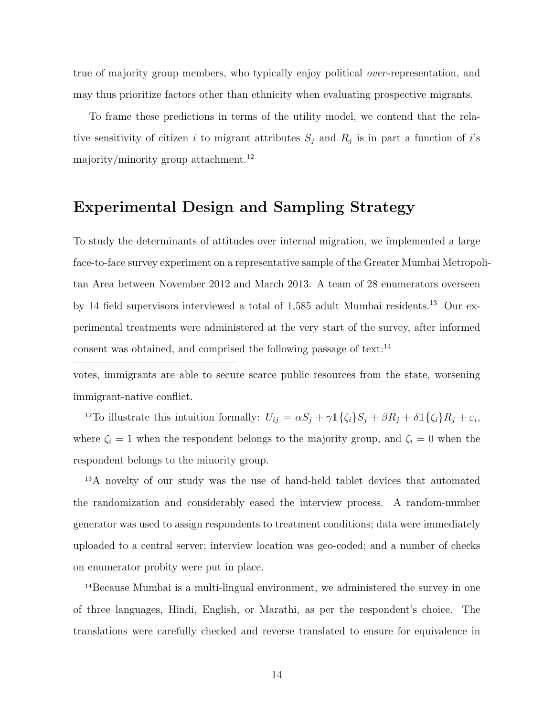true of majority group members, who typically enjoy political *over*-representation, and may thus prioritize factors other than ethnicity when evaluating prospective migrants.

To frame these predictions in terms of the utility model, we contend that the relative sensitivity of citizen i to migrant attributes  $S_j$  and  $R_j$  is in part a function of i's majority/minority group attachment.<sup>12</sup>

# Experimental Design and Sampling Strategy

To study the determinants of attitudes over internal migration, we implemented a large face-to-face survey experiment on a representative sample of the Greater Mumbai Metropolitan Area between November 2012 and March 2013. A team of 28 enumerators overseen by 14 field supervisors interviewed a total of  $1,585$  adult Mumbai residents.<sup>13</sup> Our experimental treatments were administered at the very start of the survey, after informed consent was obtained, and comprised the following passage of text: $^{14}$ 

votes, immigrants are able to secure scarce public resources from the state, worsening immigrant-native conflict.

<sup>12</sup>To illustrate this intuition formally:  $U_{ij} = \alpha S_j + \gamma \mathbb{1}\{\zeta_i\}S_j + \beta R_j + \delta \mathbb{1}\{\zeta_i\}R_j + \varepsilon_i$ , where  $\zeta_i = 1$  when the respondent belongs to the majority group, and  $\zeta_i = 0$  when the respondent belongs to the minority group.

<sup>13</sup>A novelty of our study was the use of hand-held tablet devices that automated the randomization and considerably eased the interview process. A random-number generator was used to assign respondents to treatment conditions; data were immediately uploaded to a central server; interview location was geo-coded; and a number of checks on enumerator probity were put in place.

<sup>14</sup>Because Mumbai is a multi-lingual environment, we administered the survey in one of three languages, Hindi, English, or Marathi, as per the respondent's choice. The translations were carefully checked and reverse translated to ensure for equivalence in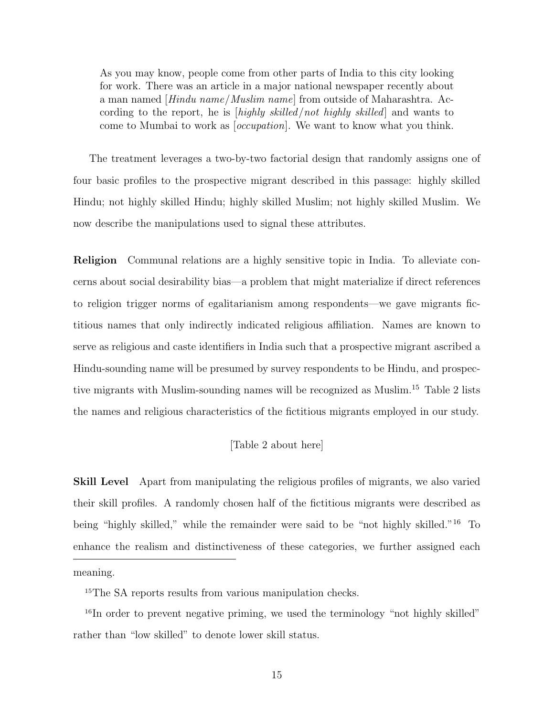As you may know, people come from other parts of India to this city looking for work. There was an article in a major national newspaper recently about a man named [Hindu name/Muslim name] from outside of Maharashtra. According to the report, he is [highly skilled/not highly skilled] and wants to come to Mumbai to work as [occupation]. We want to know what you think.

The treatment leverages a two-by-two factorial design that randomly assigns one of four basic profiles to the prospective migrant described in this passage: highly skilled Hindu; not highly skilled Hindu; highly skilled Muslim; not highly skilled Muslim. We now describe the manipulations used to signal these attributes.

Religion Communal relations are a highly sensitive topic in India. To alleviate concerns about social desirability bias—a problem that might materialize if direct references to religion trigger norms of egalitarianism among respondents—we gave migrants fictitious names that only indirectly indicated religious affiliation. Names are known to serve as religious and caste identifiers in India such that a prospective migrant ascribed a Hindu-sounding name will be presumed by survey respondents to be Hindu, and prospective migrants with Muslim-sounding names will be recognized as Muslim.<sup>15</sup> Table 2 lists the names and religious characteristics of the fictitious migrants employed in our study.

#### [Table 2 about here]

**Skill Level** Apart from manipulating the religious profiles of migrants, we also varied their skill profiles. A randomly chosen half of the fictitious migrants were described as being "highly skilled," while the remainder were said to be "not highly skilled."<sup>16</sup> To enhance the realism and distinctiveness of these categories, we further assigned each

meaning.

<sup>15</sup>The SA reports results from various manipulation checks.

<sup>&</sup>lt;sup>16</sup>In order to prevent negative priming, we used the terminology "not highly skilled" rather than "low skilled" to denote lower skill status.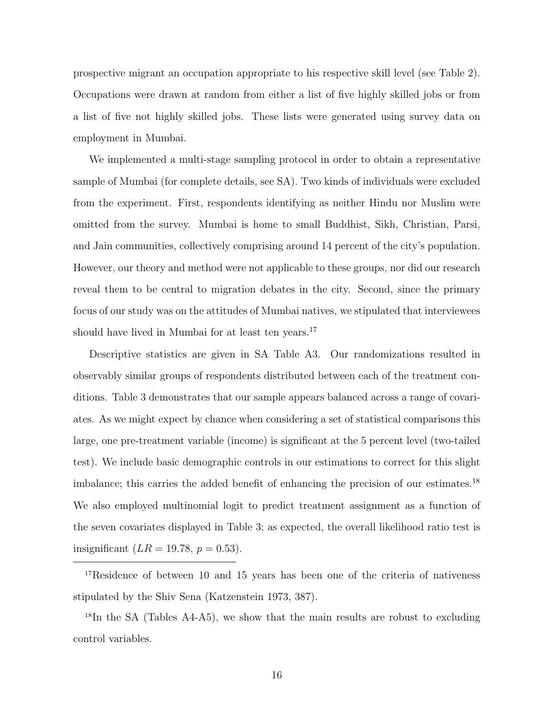prospective migrant an occupation appropriate to his respective skill level (see Table 2). Occupations were drawn at random from either a list of five highly skilled jobs or from a list of five not highly skilled jobs. These lists were generated using survey data on employment in Mumbai.

We implemented a multi-stage sampling protocol in order to obtain a representative sample of Mumbai (for complete details, see SA). Two kinds of individuals were excluded from the experiment. First, respondents identifying as neither Hindu nor Muslim were omitted from the survey. Mumbai is home to small Buddhist, Sikh, Christian, Parsi, and Jain communities, collectively comprising around 14 percent of the city's population. However, our theory and method were not applicable to these groups, nor did our research reveal them to be central to migration debates in the city. Second, since the primary focus of our study was on the attitudes of Mumbai natives, we stipulated that interviewees should have lived in Mumbai for at least ten years.<sup>17</sup>

Descriptive statistics are given in SA Table A3. Our randomizations resulted in observably similar groups of respondents distributed between each of the treatment conditions. Table 3 demonstrates that our sample appears balanced across a range of covariates. As we might expect by chance when considering a set of statistical comparisons this large, one pre-treatment variable (income) is significant at the 5 percent level (two-tailed test). We include basic demographic controls in our estimations to correct for this slight imbalance; this carries the added benefit of enhancing the precision of our estimates.<sup>18</sup> We also employed multinomial logit to predict treatment assignment as a function of the seven covariates displayed in Table 3; as expected, the overall likelihood ratio test is insignificant  $(LR = 19.78, p = 0.53)$ .

<sup>17</sup>Residence of between 10 and 15 years has been one of the criteria of nativeness stipulated by the Shiv Sena (Katzenstein 1973, 387).

<sup>18</sup>In the SA (Tables A4-A5), we show that the main results are robust to excluding control variables.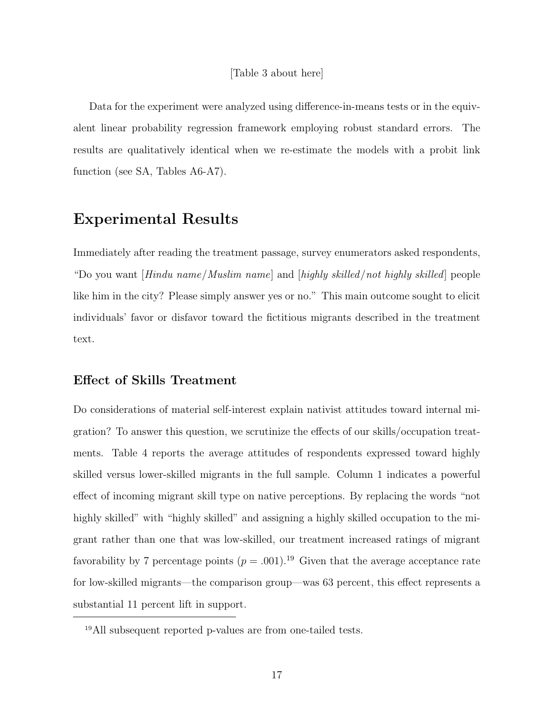Data for the experiment were analyzed using difference-in-means tests or in the equivalent linear probability regression framework employing robust standard errors. The results are qualitatively identical when we re-estimate the models with a probit link function (see SA, Tables A6-A7).

# Experimental Results

Immediately after reading the treatment passage, survey enumerators asked respondents, "Do you want [Hindu name/Muslim name] and [highly skilled/not highly skilled] people like him in the city? Please simply answer yes or no." This main outcome sought to elicit individuals' favor or disfavor toward the fictitious migrants described in the treatment text.

### Effect of Skills Treatment

Do considerations of material self-interest explain nativist attitudes toward internal migration? To answer this question, we scrutinize the effects of our skills/occupation treatments. Table 4 reports the average attitudes of respondents expressed toward highly skilled versus lower-skilled migrants in the full sample. Column 1 indicates a powerful effect of incoming migrant skill type on native perceptions. By replacing the words "not highly skilled" with "highly skilled" and assigning a highly skilled occupation to the migrant rather than one that was low-skilled, our treatment increased ratings of migrant favorability by 7 percentage points  $(p=.001).^{19}$  Given that the average acceptance rate for low-skilled migrants—the comparison group—was 63 percent, this effect represents a substantial 11 percent lift in support.

<sup>19</sup>All subsequent reported p-values are from one-tailed tests.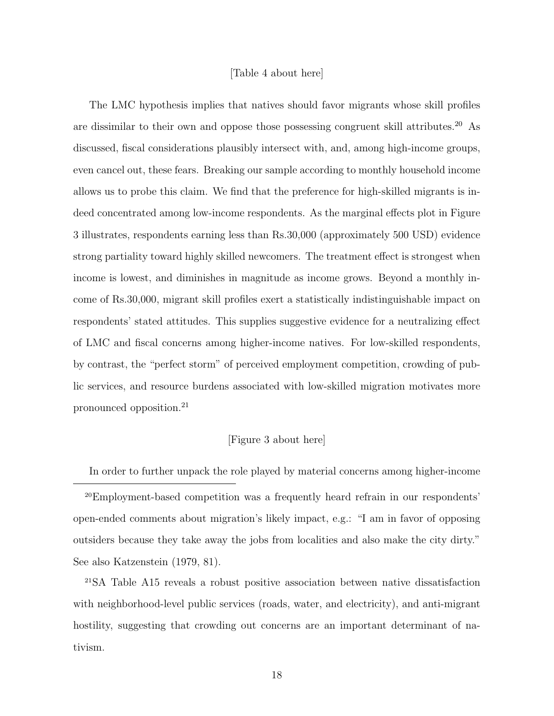#### [Table 4 about here]

The LMC hypothesis implies that natives should favor migrants whose skill profiles are dissimilar to their own and oppose those possessing congruent skill attributes.<sup>20</sup> As discussed, fiscal considerations plausibly intersect with, and, among high-income groups, even cancel out, these fears. Breaking our sample according to monthly household income allows us to probe this claim. We find that the preference for high-skilled migrants is indeed concentrated among low-income respondents. As the marginal effects plot in Figure 3 illustrates, respondents earning less than Rs.30,000 (approximately 500 USD) evidence strong partiality toward highly skilled newcomers. The treatment effect is strongest when income is lowest, and diminishes in magnitude as income grows. Beyond a monthly income of Rs.30,000, migrant skill profiles exert a statistically indistinguishable impact on respondents' stated attitudes. This supplies suggestive evidence for a neutralizing effect of LMC and fiscal concerns among higher-income natives. For low-skilled respondents, by contrast, the "perfect storm" of perceived employment competition, crowding of public services, and resource burdens associated with low-skilled migration motivates more pronounced opposition.<sup>21</sup>

#### [Figure 3 about here]

In order to further unpack the role played by material concerns among higher-income

<sup>20</sup>Employment-based competition was a frequently heard refrain in our respondents' open-ended comments about migration's likely impact, e.g.: "I am in favor of opposing outsiders because they take away the jobs from localities and also make the city dirty." See also Katzenstein (1979, 81).

<sup>21</sup>SA Table A15 reveals a robust positive association between native dissatisfaction with neighborhood-level public services (roads, water, and electricity), and anti-migrant hostility, suggesting that crowding out concerns are an important determinant of nativism.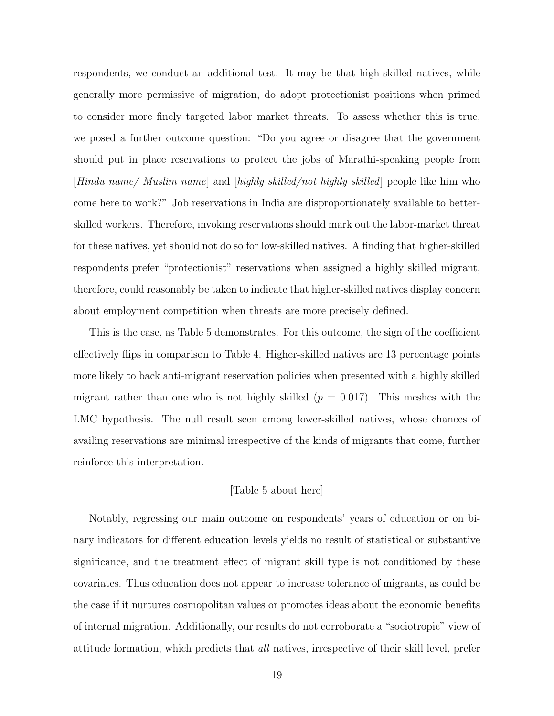respondents, we conduct an additional test. It may be that high-skilled natives, while generally more permissive of migration, do adopt protectionist positions when primed to consider more finely targeted labor market threats. To assess whether this is true, we posed a further outcome question: "Do you agree or disagree that the government should put in place reservations to protect the jobs of Marathi-speaking people from [Hindu name/ Muslim name] and [highly skilled/not highly skilled] people like him who come here to work?" Job reservations in India are disproportionately available to betterskilled workers. Therefore, invoking reservations should mark out the labor-market threat for these natives, yet should not do so for low-skilled natives. A finding that higher-skilled respondents prefer "protectionist" reservations when assigned a highly skilled migrant, therefore, could reasonably be taken to indicate that higher-skilled natives display concern about employment competition when threats are more precisely defined.

This is the case, as Table 5 demonstrates. For this outcome, the sign of the coefficient effectively flips in comparison to Table 4. Higher-skilled natives are 13 percentage points more likely to back anti-migrant reservation policies when presented with a highly skilled migrant rather than one who is not highly skilled  $(p = 0.017)$ . This meshes with the LMC hypothesis. The null result seen among lower-skilled natives, whose chances of availing reservations are minimal irrespective of the kinds of migrants that come, further reinforce this interpretation.

#### [Table 5 about here]

Notably, regressing our main outcome on respondents' years of education or on binary indicators for different education levels yields no result of statistical or substantive significance, and the treatment effect of migrant skill type is not conditioned by these covariates. Thus education does not appear to increase tolerance of migrants, as could be the case if it nurtures cosmopolitan values or promotes ideas about the economic benefits of internal migration. Additionally, our results do not corroborate a "sociotropic" view of attitude formation, which predicts that all natives, irrespective of their skill level, prefer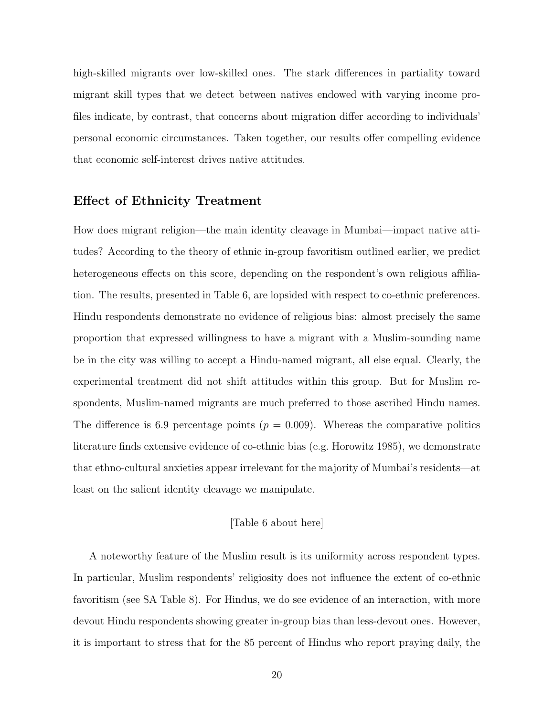high-skilled migrants over low-skilled ones. The stark differences in partiality toward migrant skill types that we detect between natives endowed with varying income profiles indicate, by contrast, that concerns about migration differ according to individuals' personal economic circumstances. Taken together, our results offer compelling evidence that economic self-interest drives native attitudes.

### Effect of Ethnicity Treatment

How does migrant religion—the main identity cleavage in Mumbai—impact native attitudes? According to the theory of ethnic in-group favoritism outlined earlier, we predict heterogeneous effects on this score, depending on the respondent's own religious affiliation. The results, presented in Table 6, are lopsided with respect to co-ethnic preferences. Hindu respondents demonstrate no evidence of religious bias: almost precisely the same proportion that expressed willingness to have a migrant with a Muslim-sounding name be in the city was willing to accept a Hindu-named migrant, all else equal. Clearly, the experimental treatment did not shift attitudes within this group. But for Muslim respondents, Muslim-named migrants are much preferred to those ascribed Hindu names. The difference is 6.9 percentage points ( $p = 0.009$ ). Whereas the comparative politics literature finds extensive evidence of co-ethnic bias (e.g. Horowitz 1985), we demonstrate that ethno-cultural anxieties appear irrelevant for the majority of Mumbai's residents—at least on the salient identity cleavage we manipulate.

#### [Table 6 about here]

A noteworthy feature of the Muslim result is its uniformity across respondent types. In particular, Muslim respondents' religiosity does not influence the extent of co-ethnic favoritism (see SA Table 8). For Hindus, we do see evidence of an interaction, with more devout Hindu respondents showing greater in-group bias than less-devout ones. However, it is important to stress that for the 85 percent of Hindus who report praying daily, the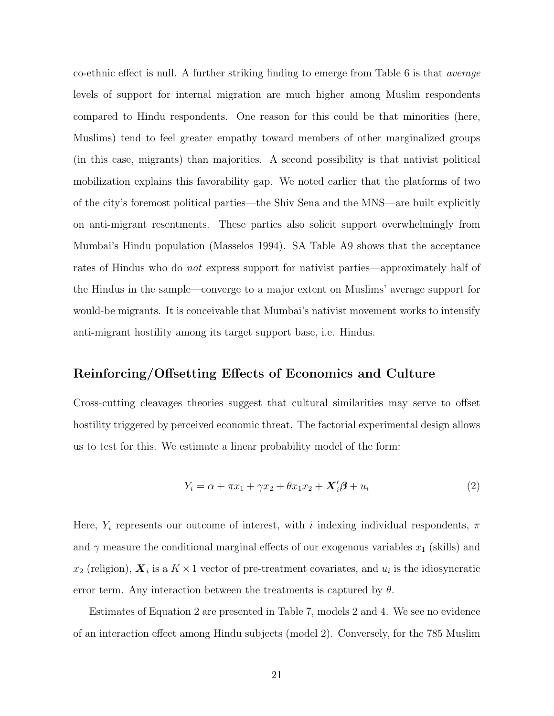co-ethnic effect is null. A further striking finding to emerge from Table 6 is that average levels of support for internal migration are much higher among Muslim respondents compared to Hindu respondents. One reason for this could be that minorities (here, Muslims) tend to feel greater empathy toward members of other marginalized groups (in this case, migrants) than majorities. A second possibility is that nativist political mobilization explains this favorability gap. We noted earlier that the platforms of two of the city's foremost political parties—the Shiv Sena and the MNS—are built explicitly on anti-migrant resentments. These parties also solicit support overwhelmingly from Mumbai's Hindu population (Masselos 1994). SA Table A9 shows that the acceptance rates of Hindus who do not express support for nativist parties—approximately half of the Hindus in the sample—converge to a major extent on Muslims' average support for would-be migrants. It is conceivable that Mumbai's nativist movement works to intensify anti-migrant hostility among its target support base, i.e. Hindus.

#### Reinforcing/Offsetting Effects of Economics and Culture

Cross-cutting cleavages theories suggest that cultural similarities may serve to offset hostility triggered by perceived economic threat. The factorial experimental design allows us to test for this. We estimate a linear probability model of the form:

$$
Y_i = \alpha + \pi x_1 + \gamma x_2 + \theta x_1 x_2 + \mathbf{X}_i' \boldsymbol{\beta} + u_i \tag{2}
$$

Here,  $Y_i$  represents our outcome of interest, with i indexing individual respondents,  $\pi$ and  $\gamma$  measure the conditional marginal effects of our exogenous variables  $x_1$  (skills) and  $x_2$  (religion),  $\boldsymbol{X}_i$  is a  $K \times 1$  vector of pre-treatment covariates, and  $u_i$  is the idiosyncratic error term. Any interaction between the treatments is captured by  $\theta$ .

Estimates of Equation 2 are presented in Table 7, models 2 and 4. We see no evidence of an interaction effect among Hindu subjects (model 2). Conversely, for the 785 Muslim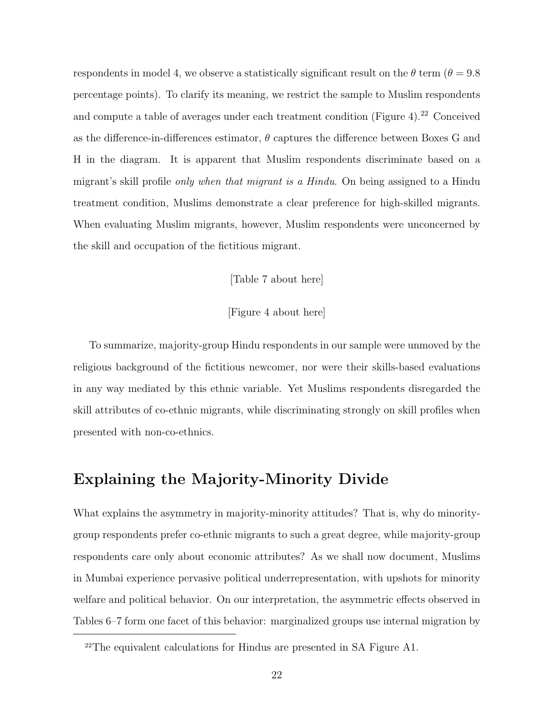respondents in model 4, we observe a statistically significant result on the  $\theta$  term ( $\theta = 9.8$ ) percentage points). To clarify its meaning, we restrict the sample to Muslim respondents and compute a table of averages under each treatment condition (Figure 4).<sup>22</sup> Conceived as the difference-in-differences estimator,  $\theta$  captures the difference between Boxes G and H in the diagram. It is apparent that Muslim respondents discriminate based on a migrant's skill profile *only when that migrant is a Hindu*. On being assigned to a Hindu treatment condition, Muslims demonstrate a clear preference for high-skilled migrants. When evaluating Muslim migrants, however, Muslim respondents were unconcerned by the skill and occupation of the fictitious migrant.

#### [Table 7 about here]

#### [Figure 4 about here]

To summarize, majority-group Hindu respondents in our sample were unmoved by the religious background of the fictitious newcomer, nor were their skills-based evaluations in any way mediated by this ethnic variable. Yet Muslims respondents disregarded the skill attributes of co-ethnic migrants, while discriminating strongly on skill profiles when presented with non-co-ethnics.

# Explaining the Majority-Minority Divide

What explains the asymmetry in majority-minority attitudes? That is, why do minoritygroup respondents prefer co-ethnic migrants to such a great degree, while majority-group respondents care only about economic attributes? As we shall now document, Muslims in Mumbai experience pervasive political underrepresentation, with upshots for minority welfare and political behavior. On our interpretation, the asymmetric effects observed in Tables 6–7 form one facet of this behavior: marginalized groups use internal migration by

<sup>22</sup>The equivalent calculations for Hindus are presented in SA Figure A1.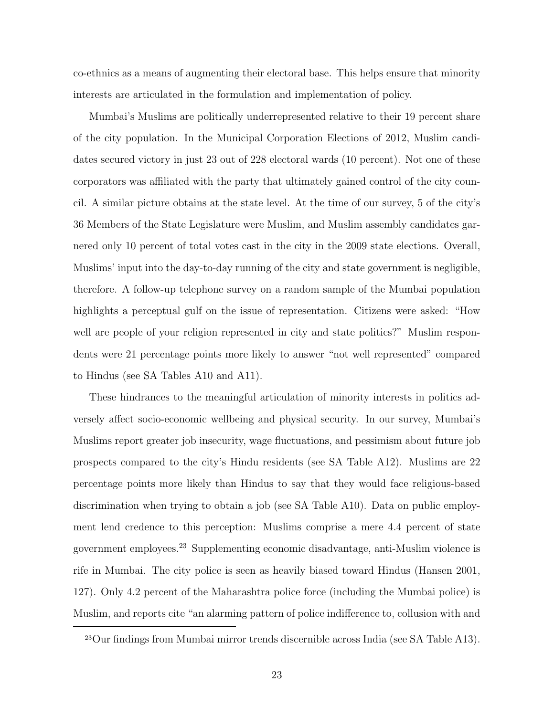co-ethnics as a means of augmenting their electoral base. This helps ensure that minority interests are articulated in the formulation and implementation of policy.

Mumbai's Muslims are politically underrepresented relative to their 19 percent share of the city population. In the Municipal Corporation Elections of 2012, Muslim candidates secured victory in just 23 out of 228 electoral wards (10 percent). Not one of these corporators was affiliated with the party that ultimately gained control of the city council. A similar picture obtains at the state level. At the time of our survey, 5 of the city's 36 Members of the State Legislature were Muslim, and Muslim assembly candidates garnered only 10 percent of total votes cast in the city in the 2009 state elections. Overall, Muslims' input into the day-to-day running of the city and state government is negligible, therefore. A follow-up telephone survey on a random sample of the Mumbai population highlights a perceptual gulf on the issue of representation. Citizens were asked: "How well are people of your religion represented in city and state politics?" Muslim respondents were 21 percentage points more likely to answer "not well represented" compared to Hindus (see SA Tables A10 and A11).

These hindrances to the meaningful articulation of minority interests in politics adversely affect socio-economic wellbeing and physical security. In our survey, Mumbai's Muslims report greater job insecurity, wage fluctuations, and pessimism about future job prospects compared to the city's Hindu residents (see SA Table A12). Muslims are 22 percentage points more likely than Hindus to say that they would face religious-based discrimination when trying to obtain a job (see SA Table A10). Data on public employment lend credence to this perception: Muslims comprise a mere 4.4 percent of state government employees.<sup>23</sup> Supplementing economic disadvantage, anti-Muslim violence is rife in Mumbai. The city police is seen as heavily biased toward Hindus (Hansen 2001, 127). Only 4.2 percent of the Maharashtra police force (including the Mumbai police) is Muslim, and reports cite "an alarming pattern of police indifference to, collusion with and

<sup>23</sup>Our findings from Mumbai mirror trends discernible across India (see SA Table A13).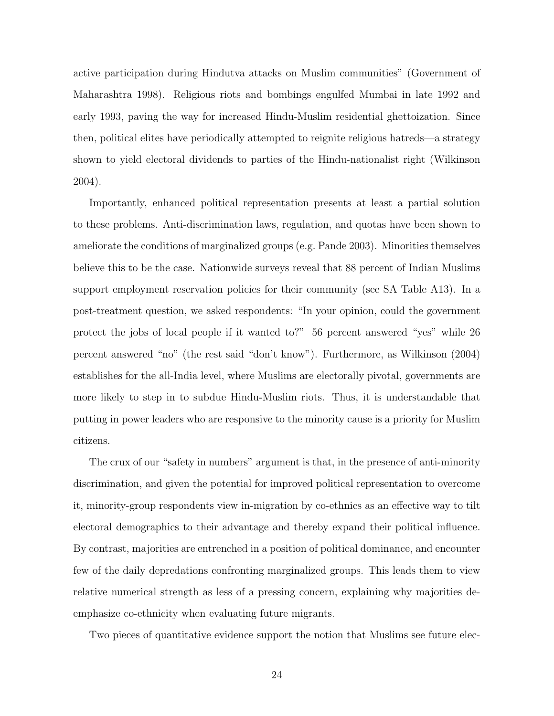active participation during Hindutva attacks on Muslim communities" (Government of Maharashtra 1998). Religious riots and bombings engulfed Mumbai in late 1992 and early 1993, paving the way for increased Hindu-Muslim residential ghettoization. Since then, political elites have periodically attempted to reignite religious hatreds—a strategy shown to yield electoral dividends to parties of the Hindu-nationalist right (Wilkinson 2004).

Importantly, enhanced political representation presents at least a partial solution to these problems. Anti-discrimination laws, regulation, and quotas have been shown to ameliorate the conditions of marginalized groups (e.g. Pande 2003). Minorities themselves believe this to be the case. Nationwide surveys reveal that 88 percent of Indian Muslims support employment reservation policies for their community (see SA Table A13). In a post-treatment question, we asked respondents: "In your opinion, could the government protect the jobs of local people if it wanted to?" 56 percent answered "yes" while 26 percent answered "no" (the rest said "don't know"). Furthermore, as Wilkinson (2004) establishes for the all-India level, where Muslims are electorally pivotal, governments are more likely to step in to subdue Hindu-Muslim riots. Thus, it is understandable that putting in power leaders who are responsive to the minority cause is a priority for Muslim citizens.

The crux of our "safety in numbers" argument is that, in the presence of anti-minority discrimination, and given the potential for improved political representation to overcome it, minority-group respondents view in-migration by co-ethnics as an effective way to tilt electoral demographics to their advantage and thereby expand their political influence. By contrast, majorities are entrenched in a position of political dominance, and encounter few of the daily depredations confronting marginalized groups. This leads them to view relative numerical strength as less of a pressing concern, explaining why majorities deemphasize co-ethnicity when evaluating future migrants.

Two pieces of quantitative evidence support the notion that Muslims see future elec-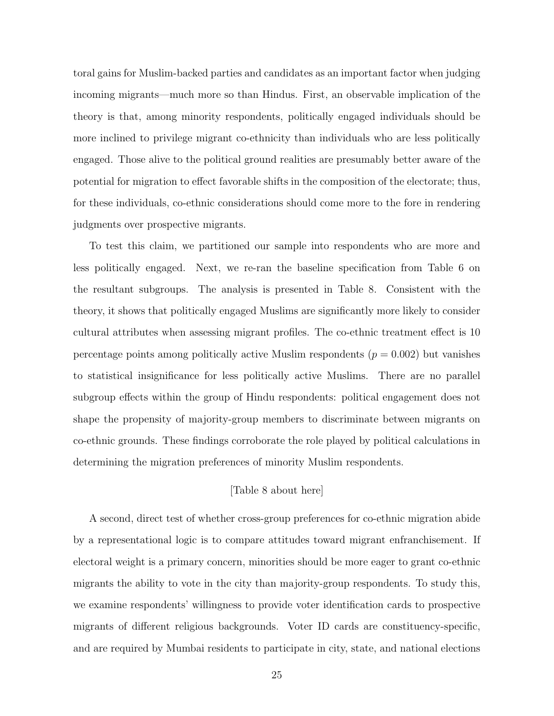toral gains for Muslim-backed parties and candidates as an important factor when judging incoming migrants—much more so than Hindus. First, an observable implication of the theory is that, among minority respondents, politically engaged individuals should be more inclined to privilege migrant co-ethnicity than individuals who are less politically engaged. Those alive to the political ground realities are presumably better aware of the potential for migration to effect favorable shifts in the composition of the electorate; thus, for these individuals, co-ethnic considerations should come more to the fore in rendering judgments over prospective migrants.

To test this claim, we partitioned our sample into respondents who are more and less politically engaged. Next, we re-ran the baseline specification from Table 6 on the resultant subgroups. The analysis is presented in Table 8. Consistent with the theory, it shows that politically engaged Muslims are significantly more likely to consider cultural attributes when assessing migrant profiles. The co-ethnic treatment effect is 10 percentage points among politically active Muslim respondents  $(p = 0.002)$  but vanishes to statistical insignificance for less politically active Muslims. There are no parallel subgroup effects within the group of Hindu respondents: political engagement does not shape the propensity of majority-group members to discriminate between migrants on co-ethnic grounds. These findings corroborate the role played by political calculations in determining the migration preferences of minority Muslim respondents.

#### [Table 8 about here]

A second, direct test of whether cross-group preferences for co-ethnic migration abide by a representational logic is to compare attitudes toward migrant enfranchisement. If electoral weight is a primary concern, minorities should be more eager to grant co-ethnic migrants the ability to vote in the city than majority-group respondents. To study this, we examine respondents' willingness to provide voter identification cards to prospective migrants of different religious backgrounds. Voter ID cards are constituency-specific, and are required by Mumbai residents to participate in city, state, and national elections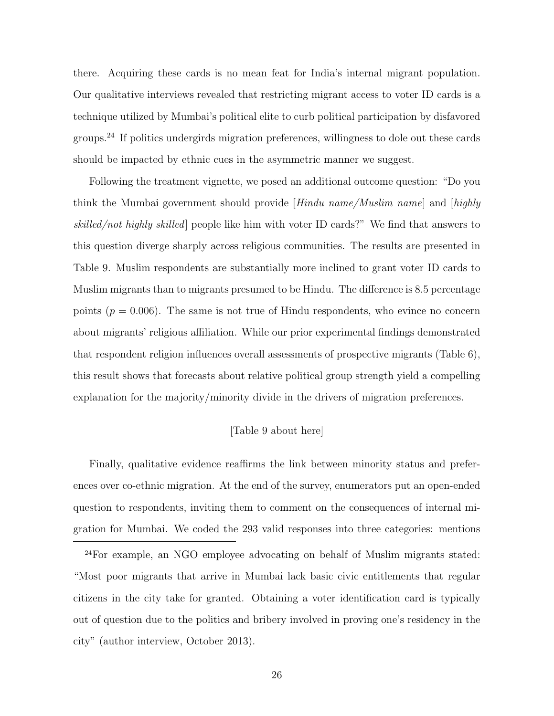there. Acquiring these cards is no mean feat for India's internal migrant population. Our qualitative interviews revealed that restricting migrant access to voter ID cards is a technique utilized by Mumbai's political elite to curb political participation by disfavored groups.<sup>24</sup> If politics undergirds migration preferences, willingness to dole out these cards should be impacted by ethnic cues in the asymmetric manner we suggest.

Following the treatment vignette, we posed an additional outcome question: "Do you think the Mumbai government should provide [Hindu name/Muslim name] and [highly skilled/not highly skilled] people like him with voter ID cards?" We find that answers to this question diverge sharply across religious communities. The results are presented in Table 9. Muslim respondents are substantially more inclined to grant voter ID cards to Muslim migrants than to migrants presumed to be Hindu. The difference is 8.5 percentage points  $(p = 0.006)$ . The same is not true of Hindu respondents, who evince no concern about migrants' religious affiliation. While our prior experimental findings demonstrated that respondent religion influences overall assessments of prospective migrants (Table 6), this result shows that forecasts about relative political group strength yield a compelling explanation for the majority/minority divide in the drivers of migration preferences.

#### [Table 9 about here]

Finally, qualitative evidence reaffirms the link between minority status and preferences over co-ethnic migration. At the end of the survey, enumerators put an open-ended question to respondents, inviting them to comment on the consequences of internal migration for Mumbai. We coded the 293 valid responses into three categories: mentions

<sup>24</sup>For example, an NGO employee advocating on behalf of Muslim migrants stated: "Most poor migrants that arrive in Mumbai lack basic civic entitlements that regular citizens in the city take for granted. Obtaining a voter identification card is typically out of question due to the politics and bribery involved in proving one's residency in the city" (author interview, October 2013).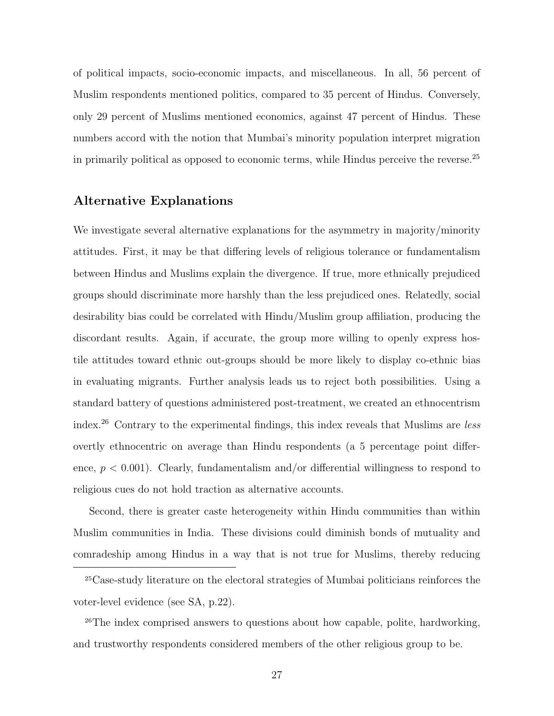of political impacts, socio-economic impacts, and miscellaneous. In all, 56 percent of Muslim respondents mentioned politics, compared to 35 percent of Hindus. Conversely, only 29 percent of Muslims mentioned economics, against 47 percent of Hindus. These numbers accord with the notion that Mumbai's minority population interpret migration in primarily political as opposed to economic terms, while Hindus perceive the reverse.<sup>25</sup>

### Alternative Explanations

We investigate several alternative explanations for the asymmetry in majority/minority attitudes. First, it may be that differing levels of religious tolerance or fundamentalism between Hindus and Muslims explain the divergence. If true, more ethnically prejudiced groups should discriminate more harshly than the less prejudiced ones. Relatedly, social desirability bias could be correlated with Hindu/Muslim group affiliation, producing the discordant results. Again, if accurate, the group more willing to openly express hostile attitudes toward ethnic out-groups should be more likely to display co-ethnic bias in evaluating migrants. Further analysis leads us to reject both possibilities. Using a standard battery of questions administered post-treatment, we created an ethnocentrism index.<sup>26</sup> Contrary to the experimental findings, this index reveals that Muslims are less overtly ethnocentric on average than Hindu respondents (a 5 percentage point difference,  $p < 0.001$ ). Clearly, fundamentalism and/or differential willingness to respond to religious cues do not hold traction as alternative accounts.

Second, there is greater caste heterogeneity within Hindu communities than within Muslim communities in India. These divisions could diminish bonds of mutuality and comradeship among Hindus in a way that is not true for Muslims, thereby reducing

<sup>25</sup>Case-study literature on the electoral strategies of Mumbai politicians reinforces the voter-level evidence (see SA, p.22).

<sup>26</sup>The index comprised answers to questions about how capable, polite, hardworking, and trustworthy respondents considered members of the other religious group to be.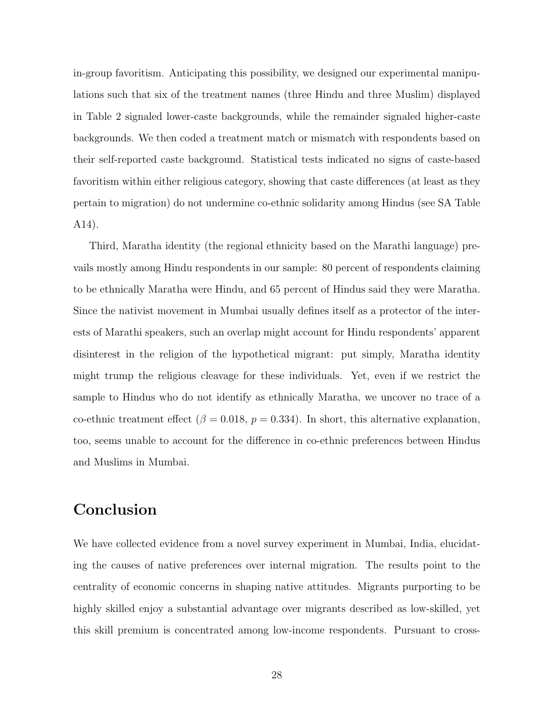in-group favoritism. Anticipating this possibility, we designed our experimental manipulations such that six of the treatment names (three Hindu and three Muslim) displayed in Table 2 signaled lower-caste backgrounds, while the remainder signaled higher-caste backgrounds. We then coded a treatment match or mismatch with respondents based on their self-reported caste background. Statistical tests indicated no signs of caste-based favoritism within either religious category, showing that caste differences (at least as they pertain to migration) do not undermine co-ethnic solidarity among Hindus (see SA Table A14).

Third, Maratha identity (the regional ethnicity based on the Marathi language) prevails mostly among Hindu respondents in our sample: 80 percent of respondents claiming to be ethnically Maratha were Hindu, and 65 percent of Hindus said they were Maratha. Since the nativist movement in Mumbai usually defines itself as a protector of the interests of Marathi speakers, such an overlap might account for Hindu respondents' apparent disinterest in the religion of the hypothetical migrant: put simply, Maratha identity might trump the religious cleavage for these individuals. Yet, even if we restrict the sample to Hindus who do not identify as ethnically Maratha, we uncover no trace of a co-ethnic treatment effect ( $\beta = 0.018$ ,  $p = 0.334$ ). In short, this alternative explanation, too, seems unable to account for the difference in co-ethnic preferences between Hindus and Muslims in Mumbai.

# Conclusion

We have collected evidence from a novel survey experiment in Mumbai, India, elucidating the causes of native preferences over internal migration. The results point to the centrality of economic concerns in shaping native attitudes. Migrants purporting to be highly skilled enjoy a substantial advantage over migrants described as low-skilled, yet this skill premium is concentrated among low-income respondents. Pursuant to cross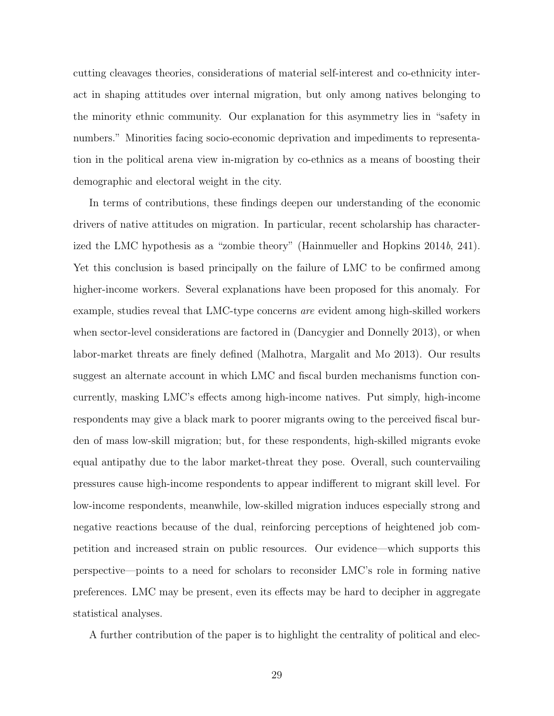cutting cleavages theories, considerations of material self-interest and co-ethnicity interact in shaping attitudes over internal migration, but only among natives belonging to the minority ethnic community. Our explanation for this asymmetry lies in "safety in numbers." Minorities facing socio-economic deprivation and impediments to representation in the political arena view in-migration by co-ethnics as a means of boosting their demographic and electoral weight in the city.

In terms of contributions, these findings deepen our understanding of the economic drivers of native attitudes on migration. In particular, recent scholarship has characterized the LMC hypothesis as a "zombie theory" (Hainmueller and Hopkins 2014b, 241). Yet this conclusion is based principally on the failure of LMC to be confirmed among higher-income workers. Several explanations have been proposed for this anomaly. For example, studies reveal that LMC-type concerns are evident among high-skilled workers when sector-level considerations are factored in (Dancygier and Donnelly 2013), or when labor-market threats are finely defined (Malhotra, Margalit and Mo 2013). Our results suggest an alternate account in which LMC and fiscal burden mechanisms function concurrently, masking LMC's effects among high-income natives. Put simply, high-income respondents may give a black mark to poorer migrants owing to the perceived fiscal burden of mass low-skill migration; but, for these respondents, high-skilled migrants evoke equal antipathy due to the labor market-threat they pose. Overall, such countervailing pressures cause high-income respondents to appear indifferent to migrant skill level. For low-income respondents, meanwhile, low-skilled migration induces especially strong and negative reactions because of the dual, reinforcing perceptions of heightened job competition and increased strain on public resources. Our evidence—which supports this perspective—points to a need for scholars to reconsider LMC's role in forming native preferences. LMC may be present, even its effects may be hard to decipher in aggregate statistical analyses.

A further contribution of the paper is to highlight the centrality of political and elec-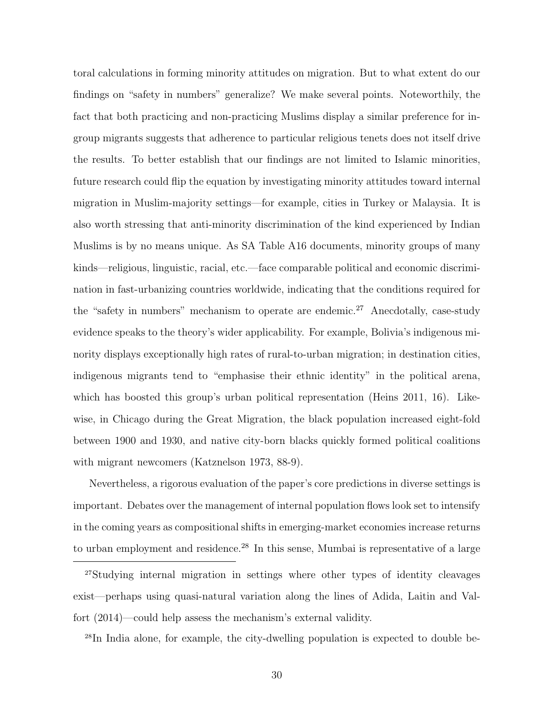toral calculations in forming minority attitudes on migration. But to what extent do our findings on "safety in numbers" generalize? We make several points. Noteworthily, the fact that both practicing and non-practicing Muslims display a similar preference for ingroup migrants suggests that adherence to particular religious tenets does not itself drive the results. To better establish that our findings are not limited to Islamic minorities, future research could flip the equation by investigating minority attitudes toward internal migration in Muslim-majority settings—for example, cities in Turkey or Malaysia. It is also worth stressing that anti-minority discrimination of the kind experienced by Indian Muslims is by no means unique. As SA Table A16 documents, minority groups of many kinds—religious, linguistic, racial, etc.—face comparable political and economic discrimination in fast-urbanizing countries worldwide, indicating that the conditions required for the "safety in numbers" mechanism to operate are endemic.<sup>27</sup> Anecdotally, case-study evidence speaks to the theory's wider applicability. For example, Bolivia's indigenous minority displays exceptionally high rates of rural-to-urban migration; in destination cities, indigenous migrants tend to "emphasise their ethnic identity" in the political arena, which has boosted this group's urban political representation (Heins 2011, 16). Likewise, in Chicago during the Great Migration, the black population increased eight-fold between 1900 and 1930, and native city-born blacks quickly formed political coalitions with migrant newcomers (Katznelson 1973, 88-9).

Nevertheless, a rigorous evaluation of the paper's core predictions in diverse settings is important. Debates over the management of internal population flows look set to intensify in the coming years as compositional shifts in emerging-market economies increase returns to urban employment and residence.<sup>28</sup> In this sense, Mumbai is representative of a large

28In India alone, for example, the city-dwelling population is expected to double be-

<sup>27</sup>Studying internal migration in settings where other types of identity cleavages exist—perhaps using quasi-natural variation along the lines of Adida, Laitin and Valfort (2014)—could help assess the mechanism's external validity.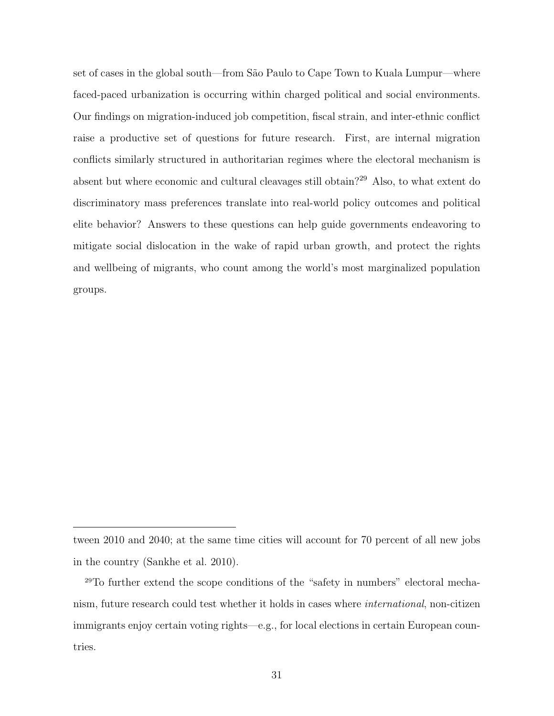set of cases in the global south—from São Paulo to Cape Town to Kuala Lumpur—where faced-paced urbanization is occurring within charged political and social environments. Our findings on migration-induced job competition, fiscal strain, and inter-ethnic conflict raise a productive set of questions for future research. First, are internal migration conflicts similarly structured in authoritarian regimes where the electoral mechanism is absent but where economic and cultural cleavages still obtain?<sup>29</sup> Also, to what extent do discriminatory mass preferences translate into real-world policy outcomes and political elite behavior? Answers to these questions can help guide governments endeavoring to mitigate social dislocation in the wake of rapid urban growth, and protect the rights and wellbeing of migrants, who count among the world's most marginalized population groups.

tween 2010 and 2040; at the same time cities will account for 70 percent of all new jobs in the country (Sankhe et al. 2010).

<sup>29</sup>To further extend the scope conditions of the "safety in numbers" electoral mechanism, future research could test whether it holds in cases where international, non-citizen immigrants enjoy certain voting rights—e.g., for local elections in certain European countries.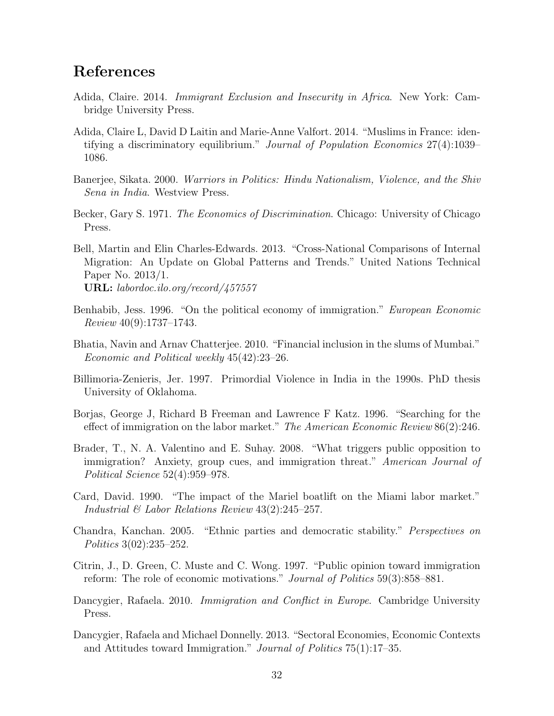# References

- Adida, Claire. 2014. Immigrant Exclusion and Insecurity in Africa. New York: Cambridge University Press.
- Adida, Claire L, David D Laitin and Marie-Anne Valfort. 2014. "Muslims in France: identifying a discriminatory equilibrium." Journal of Population Economics 27(4):1039– 1086.
- Banerjee, Sikata. 2000. Warriors in Politics: Hindu Nationalism, Violence, and the Shiv Sena in India. Westview Press.
- Becker, Gary S. 1971. The Economics of Discrimination. Chicago: University of Chicago Press.

Bell, Martin and Elin Charles-Edwards. 2013. "Cross-National Comparisons of Internal Migration: An Update on Global Patterns and Trends." United Nations Technical Paper No. 2013/1. URL: labordoc.ilo.org/record/457557

- Benhabib, Jess. 1996. "On the political economy of immigration." European Economic Review 40(9):1737–1743.
- Bhatia, Navin and Arnav Chatterjee. 2010. "Financial inclusion in the slums of Mumbai." Economic and Political weekly 45(42):23–26.
- Billimoria-Zenieris, Jer. 1997. Primordial Violence in India in the 1990s. PhD thesis University of Oklahoma.
- Borjas, George J, Richard B Freeman and Lawrence F Katz. 1996. "Searching for the effect of immigration on the labor market." The American Economic Review 86(2):246.
- Brader, T., N. A. Valentino and E. Suhay. 2008. "What triggers public opposition to immigration? Anxiety, group cues, and immigration threat." American Journal of Political Science 52(4):959–978.
- Card, David. 1990. "The impact of the Mariel boatlift on the Miami labor market." Industrial & Labor Relations Review 43(2):245–257.
- Chandra, Kanchan. 2005. "Ethnic parties and democratic stability." Perspectives on Politics 3(02):235–252.
- Citrin, J., D. Green, C. Muste and C. Wong. 1997. "Public opinion toward immigration reform: The role of economic motivations." Journal of Politics 59(3):858–881.
- Dancygier, Rafaela. 2010. Immigration and Conflict in Europe. Cambridge University Press.
- Dancygier, Rafaela and Michael Donnelly. 2013. "Sectoral Economies, Economic Contexts and Attitudes toward Immigration." Journal of Politics 75(1):17–35.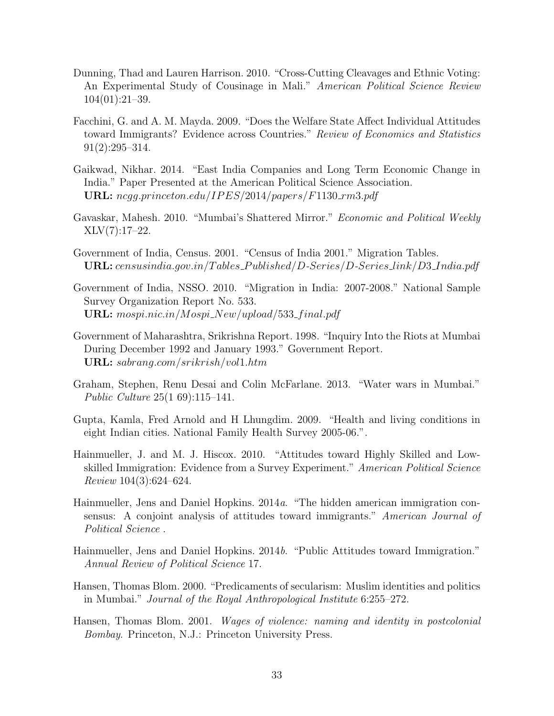- Dunning, Thad and Lauren Harrison. 2010. "Cross-Cutting Cleavages and Ethnic Voting: An Experimental Study of Cousinage in Mali." American Political Science Review 104(01):21–39.
- Facchini, G. and A. M. Mayda. 2009. "Does the Welfare State Affect Individual Attitudes toward Immigrants? Evidence across Countries." Review of Economics and Statistics 91(2):295–314.
- Gaikwad, Nikhar. 2014. "East India Companies and Long Term Economic Change in India." Paper Presented at the American Political Science Association. URL:  $negg.princeton.edu/IPES/2014/papers/F1130_rm3.pdf$
- Gavaskar, Mahesh. 2010. "Mumbai's Shattered Mirror." Economic and Political Weekly  $XLV(7):17–22.$
- Government of India, Census. 2001. "Census of India 2001." Migration Tables. URL: censusindia.gov.in/Tables\_Published/D-Series/D-Series\_link/D3\_India.pdf
- Government of India, NSSO. 2010. "Migration in India: 2007-2008." National Sample Survey Organization Report No. 533. URL:  $mospi.nic.in/Mospi_New/upload/533\_final.pdf$
- Government of Maharashtra, Srikrishna Report. 1998. "Inquiry Into the Riots at Mumbai During December 1992 and January 1993." Government Report. URL: sabrang.com/srikrish/vol1.htm
- Graham, Stephen, Renu Desai and Colin McFarlane. 2013. "Water wars in Mumbai." Public Culture 25(1 69):115–141.
- Gupta, Kamla, Fred Arnold and H Lhungdim. 2009. "Health and living conditions in eight Indian cities. National Family Health Survey 2005-06.".
- Hainmueller, J. and M. J. Hiscox. 2010. "Attitudes toward Highly Skilled and Lowskilled Immigration: Evidence from a Survey Experiment." American Political Science Review 104(3):624–624.
- Hainmueller, Jens and Daniel Hopkins. 2014a. "The hidden american immigration consensus: A conjoint analysis of attitudes toward immigrants." American Journal of Political Science .
- Hainmueller, Jens and Daniel Hopkins. 2014b. "Public Attitudes toward Immigration." Annual Review of Political Science 17.
- Hansen, Thomas Blom. 2000. "Predicaments of secularism: Muslim identities and politics in Mumbai." Journal of the Royal Anthropological Institute 6:255–272.
- Hansen, Thomas Blom. 2001. Wages of violence: naming and identity in postcolonial Bombay. Princeton, N.J.: Princeton University Press.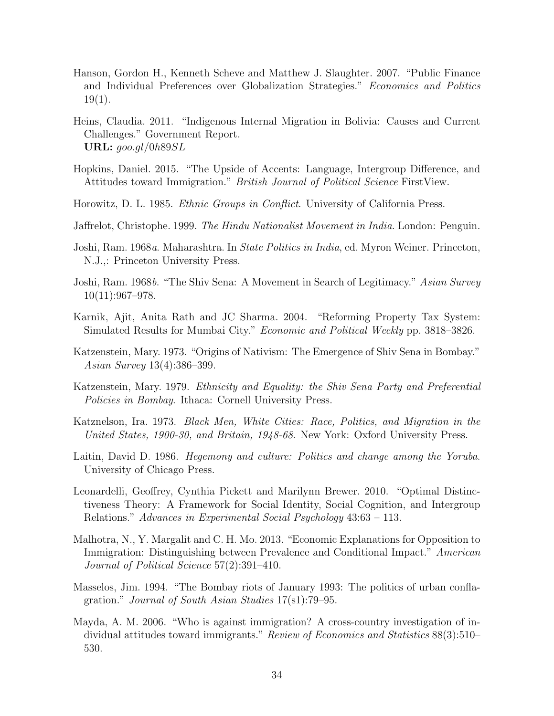- Hanson, Gordon H., Kenneth Scheve and Matthew J. Slaughter. 2007. "Public Finance and Individual Preferences over Globalization Strategies." Economics and Politics 19(1).
- Heins, Claudia. 2011. "Indigenous Internal Migration in Bolivia: Causes and Current Challenges." Government Report. URL:  $qoo.ql/0h89SL$
- Hopkins, Daniel. 2015. "The Upside of Accents: Language, Intergroup Difference, and Attitudes toward Immigration." British Journal of Political Science FirstView.
- Horowitz, D. L. 1985. Ethnic Groups in Conflict. University of California Press.
- Jaffrelot, Christophe. 1999. The Hindu Nationalist Movement in India. London: Penguin.
- Joshi, Ram. 1968a. Maharashtra. In State Politics in India, ed. Myron Weiner. Princeton, N.J.,: Princeton University Press.
- Joshi, Ram. 1968b. "The Shiv Sena: A Movement in Search of Legitimacy." Asian Survey  $10(11):967-978.$
- Karnik, Ajit, Anita Rath and JC Sharma. 2004. "Reforming Property Tax System: Simulated Results for Mumbai City." Economic and Political Weekly pp. 3818–3826.
- Katzenstein, Mary. 1973. "Origins of Nativism: The Emergence of Shiv Sena in Bombay." Asian Survey 13(4):386–399.
- Katzenstein, Mary. 1979. Ethnicity and Equality: the Shiv Sena Party and Preferential Policies in Bombay. Ithaca: Cornell University Press.
- Katznelson, Ira. 1973. Black Men, White Cities: Race, Politics, and Migration in the United States, 1900-30, and Britain, 1948-68. New York: Oxford University Press.
- Laitin, David D. 1986. Hegemony and culture: Politics and change among the Yoruba. University of Chicago Press.
- Leonardelli, Geoffrey, Cynthia Pickett and Marilynn Brewer. 2010. "Optimal Distinctiveness Theory: A Framework for Social Identity, Social Cognition, and Intergroup Relations." Advances in Experimental Social Psychology 43:63 – 113.
- Malhotra, N., Y. Margalit and C. H. Mo. 2013. "Economic Explanations for Opposition to Immigration: Distinguishing between Prevalence and Conditional Impact." American Journal of Political Science 57(2):391–410.
- Masselos, Jim. 1994. "The Bombay riots of January 1993: The politics of urban conflagration." Journal of South Asian Studies 17(s1):79–95.
- Mayda, A. M. 2006. "Who is against immigration? A cross-country investigation of individual attitudes toward immigrants." Review of Economics and Statistics 88(3):510– 530.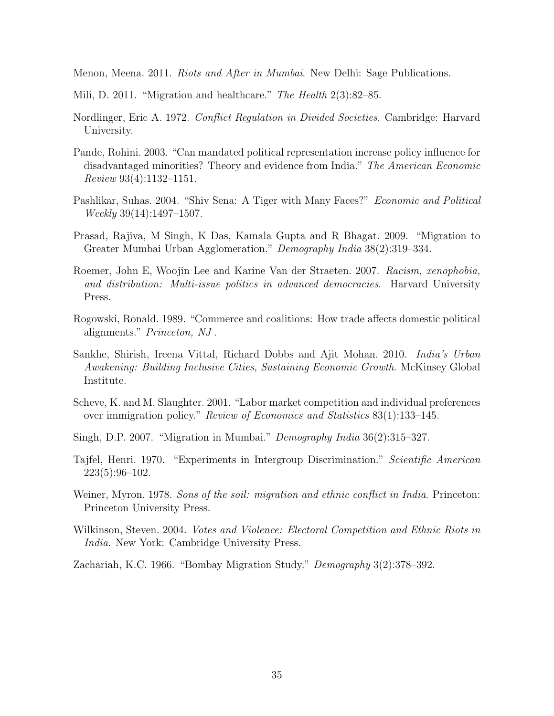Menon, Meena. 2011. Riots and After in Mumbai. New Delhi: Sage Publications.

- Mili, D. 2011. "Migration and healthcare." The Health 2(3):82–85.
- Nordlinger, Eric A. 1972. Conflict Regulation in Divided Societies. Cambridge: Harvard University.
- Pande, Rohini. 2003. "Can mandated political representation increase policy influence for disadvantaged minorities? Theory and evidence from India." The American Economic Review 93(4):1132–1151.
- Pashlikar, Suhas. 2004. "Shiv Sena: A Tiger with Many Faces?" *Economic and Political* Weekly 39(14):1497–1507.
- Prasad, Rajiva, M Singh, K Das, Kamala Gupta and R Bhagat. 2009. "Migration to Greater Mumbai Urban Agglomeration." Demography India 38(2):319–334.
- Roemer, John E, Woojin Lee and Karine Van der Straeten. 2007. Racism, xenophobia, and distribution: Multi-issue politics in advanced democracies. Harvard University Press.
- Rogowski, Ronald. 1989. "Commerce and coalitions: How trade affects domestic political alignments." Princeton, NJ .
- Sankhe, Shirish, Ireena Vittal, Richard Dobbs and Ajit Mohan. 2010. India's Urban Awakening: Building Inclusive Cities, Sustaining Economic Growth. McKinsey Global Institute.
- Scheve, K. and M. Slaughter. 2001. "Labor market competition and individual preferences over immigration policy." Review of Economics and Statistics 83(1):133–145.
- Singh, D.P. 2007. "Migration in Mumbai." Demography India 36(2):315–327.
- Tajfel, Henri. 1970. "Experiments in Intergroup Discrimination." Scientific American 223(5):96–102.
- Weiner, Myron. 1978. Sons of the soil: migration and ethnic conflict in India. Princeton: Princeton University Press.
- Wilkinson, Steven. 2004. *Votes and Violence: Electoral Competition and Ethnic Riots in* India. New York: Cambridge University Press.

Zachariah, K.C. 1966. "Bombay Migration Study." Demography 3(2):378–392.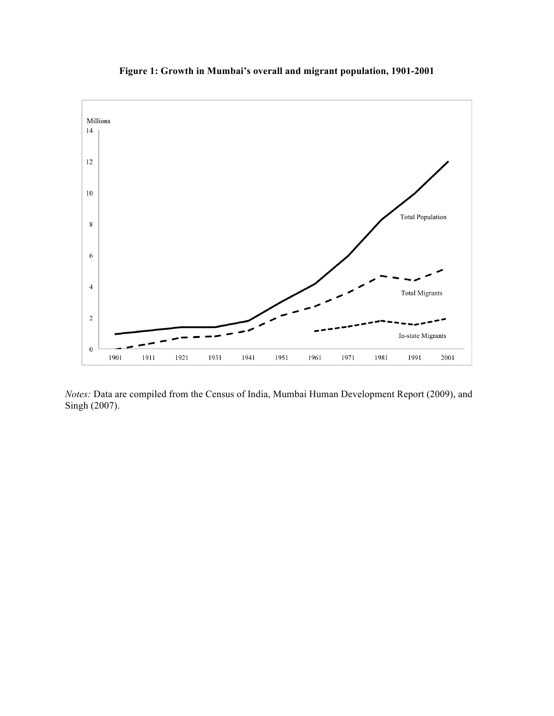

**Figure 1: Growth in Mumbai's overall and migrant population, 1901-2001**

*Notes:* Data are compiled from the Census of India, Mumbai Human Development Report (2009), and Singh (2007).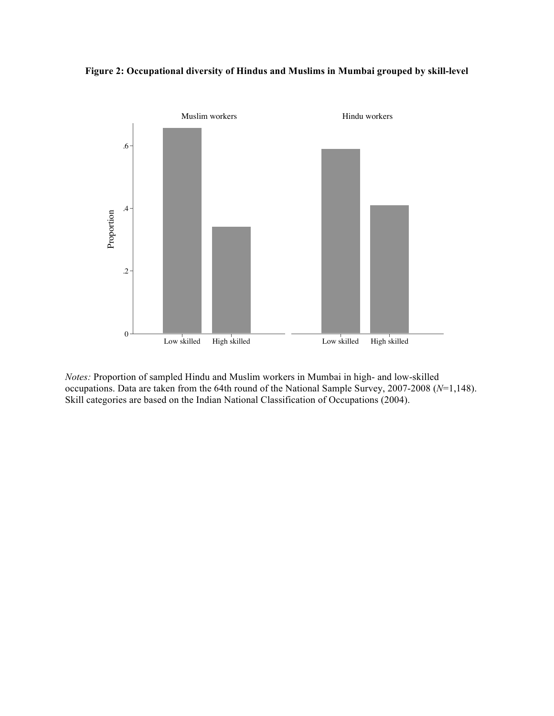



*Notes:* Proportion of sampled Hindu and Muslim workers in Mumbai in high- and low-skilled occupations. Data are taken from the 64th round of the National Sample Survey, 2007-2008 (*N*=1,148). Skill categories are based on the Indian National Classification of Occupations (2004).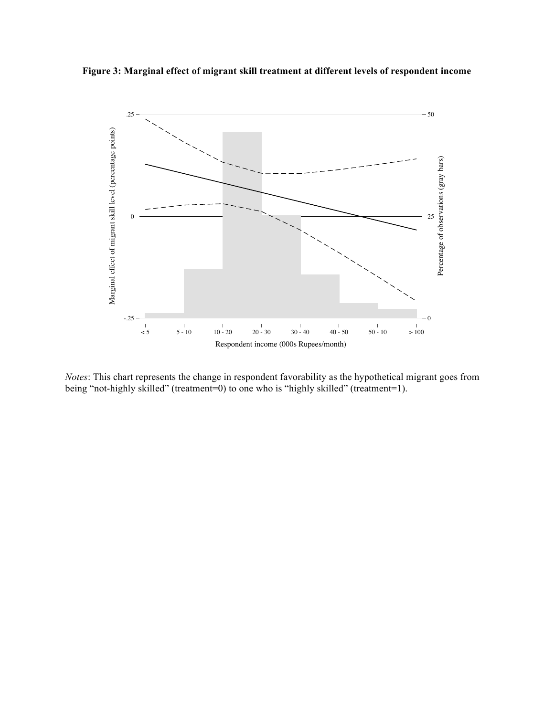



*Notes*: This chart represents the change in respondent favorability as the hypothetical migrant goes from being "not-highly skilled" (treatment=0) to one who is "highly skilled" (treatment=1).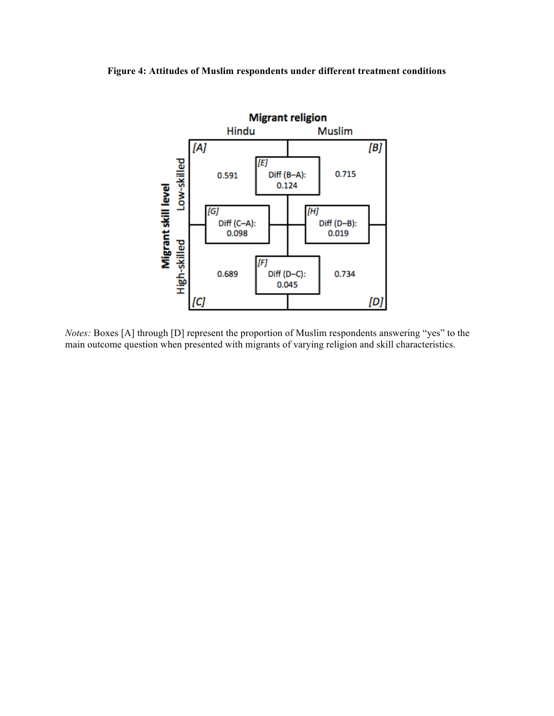#### **Figure 4: Attitudes of Muslim respondents under different treatment conditions**



*Notes:* Boxes [A] through [D] represent the proportion of Muslim respondents answering "yes" to the main outcome question when presented with migrants of varying religion and skill characteristics.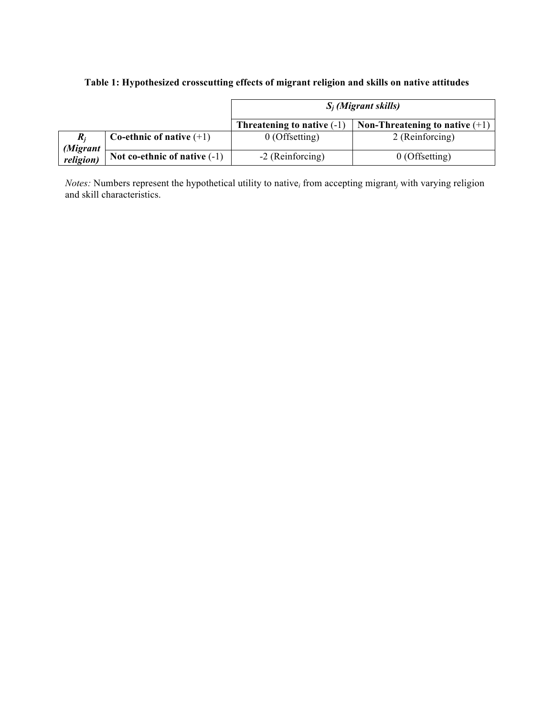# **Table 1: Hypothesized crosscutting effects of migrant religion and skills on native attitudes**

|                       |                                | $S_i$ (Migrant skills)       |                                  |  |
|-----------------------|--------------------------------|------------------------------|----------------------------------|--|
|                       |                                | Threatening to native $(-1)$ | Non-Threatening to native $(+1)$ |  |
|                       | Co-ethnic of native $(+1)$     | $0$ (Offsetting)             | 2 (Reinforcing)                  |  |
| (Migrant<br>religion) | Not co-ethnic of native $(-1)$ | -2 (Reinforcing)             | $0$ (Offsetting)                 |  |

*Notes:* Numbers represent the hypothetical utility to native*<sup>i</sup>* from accepting migrant*<sup>j</sup>* with varying religion and skill characteristics.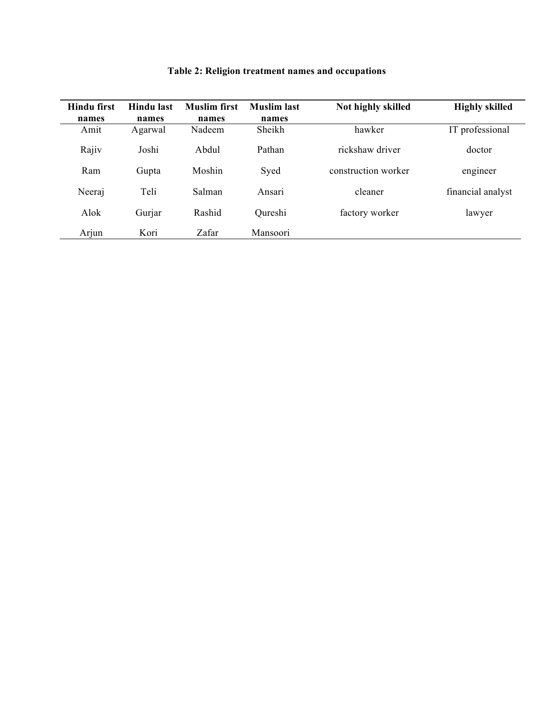| <b>Hindu first</b> | Hindu last | <b>Muslim</b> first | <b>Muslim</b> last | Not highly skilled  | <b>Highly skilled</b> |
|--------------------|------------|---------------------|--------------------|---------------------|-----------------------|
| names              | names      | names               | names              |                     |                       |
| Amit               | Agarwal    | Nadeem              | Sheikh             | hawker              | IT professional       |
| Rajiv              | Joshi      | Abdul               | Pathan             | rickshaw driver     | doctor                |
| Ram                | Gupta      | Moshin              | Syed               | construction worker | engineer              |
| Neeraj             | Teli       | Salman              | Ansari             | cleaner             | financial analyst     |
| Alok               | Gurjar     | Rashid              | Qureshi            | factory worker      | lawyer                |
| Arjun              | Kori       | Zafar               | Mansoori           |                     |                       |

# **Table 2: Religion treatment names and occupations**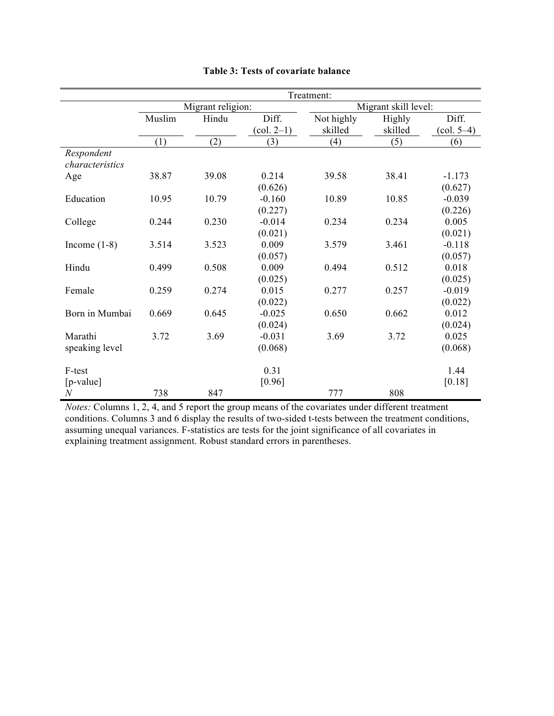|                  |                   |       |                                   | Treatment:           |         |                                 |
|------------------|-------------------|-------|-----------------------------------|----------------------|---------|---------------------------------|
|                  | Migrant religion: |       |                                   | Migrant skill level: |         |                                 |
|                  | Muslim            | Hindu | Diff.                             | Not highly           | Highly  | Diff.                           |
|                  |                   |       | $\left( \text{col. } 2-1 \right)$ | skilled              | skilled | $\left(\text{col. } 5-4\right)$ |
|                  | (1)               | (2)   | (3)                               | (4)                  | (5)     | (6)                             |
| Respondent       |                   |       |                                   |                      |         |                                 |
| characteristics  |                   |       |                                   |                      |         |                                 |
| Age              | 38.87             | 39.08 | 0.214                             | 39.58                | 38.41   | $-1.173$                        |
|                  |                   |       | (0.626)                           |                      |         | (0.627)                         |
| Education        | 10.95             | 10.79 | $-0.160$                          | 10.89                | 10.85   | $-0.039$                        |
|                  |                   |       | (0.227)                           |                      |         | (0.226)                         |
| College          | 0.244             | 0.230 | $-0.014$                          | 0.234                | 0.234   | 0.005                           |
|                  |                   |       | (0.021)                           |                      |         | (0.021)                         |
| Income $(1-8)$   | 3.514             | 3.523 | 0.009                             | 3.579                | 3.461   | $-0.118$                        |
|                  |                   |       | (0.057)                           |                      |         | (0.057)                         |
| Hindu            | 0.499             | 0.508 | 0.009                             | 0.494                | 0.512   | 0.018                           |
|                  |                   |       | (0.025)                           |                      |         | (0.025)                         |
| Female           | 0.259             | 0.274 | 0.015                             | 0.277                | 0.257   | $-0.019$                        |
|                  |                   |       | (0.022)                           |                      |         | (0.022)                         |
| Born in Mumbai   | 0.669             | 0.645 | $-0.025$                          | 0.650                | 0.662   | 0.012                           |
|                  |                   |       | (0.024)                           |                      |         | (0.024)                         |
| Marathi          | 3.72              | 3.69  | $-0.031$                          | 3.69                 | 3.72    | 0.025                           |
| speaking level   |                   |       | (0.068)                           |                      |         | (0.068)                         |
| F-test           |                   |       | 0.31                              |                      |         | 1.44                            |
| [p-value]        |                   |       | [0.96]                            |                      |         | [0.18]                          |
| $\boldsymbol{N}$ | 738               | 847   |                                   | 777                  | 808     |                                 |

#### **Table 3: Tests of covariate balance**

*Notes:* Columns 1, 2, 4, and 5 report the group means of the covariates under different treatment conditions. Columns 3 and 6 display the results of two-sided t-tests between the treatment conditions, assuming unequal variances. F-statistics are tests for the joint significance of all covariates in explaining treatment assignment. Robust standard errors in parentheses.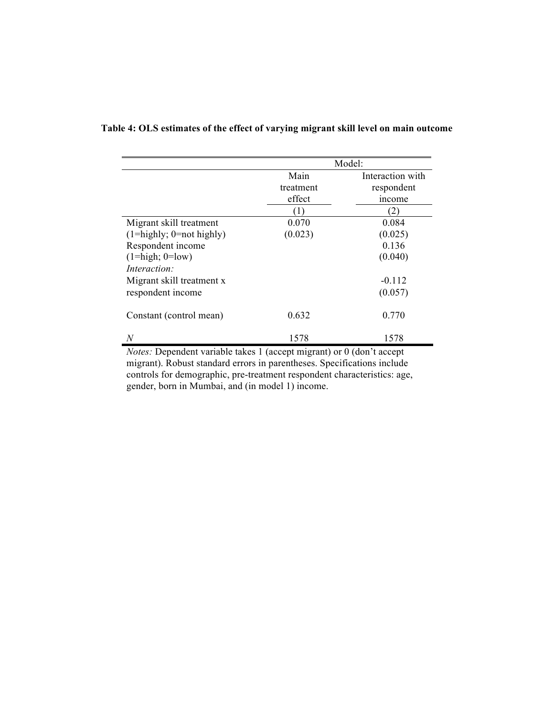|                                       | Model:            |                                |
|---------------------------------------|-------------------|--------------------------------|
|                                       | Main<br>treatment | Interaction with<br>respondent |
|                                       | effect            | income                         |
|                                       | (1)               | 2)                             |
| Migrant skill treatment               | 0.070             | 0.084                          |
| $(1 =$ highly; $0 =$ not highly)      | (0.023)           | (0.025)                        |
| Respondent income                     |                   | 0.136                          |
| $(1 = high; 0 = low)$<br>Interaction: |                   | (0.040)                        |
| Migrant skill treatment x             |                   | $-0.112$                       |
| respondent income                     |                   | (0.057)                        |
| Constant (control mean)               | 0.632             | 0.770                          |
| N                                     | 1578              | 1578                           |

### **Table 4: OLS estimates of the effect of varying migrant skill level on main outcome**

*Notes:* Dependent variable takes 1 (accept migrant) or 0 (don't accept migrant). Robust standard errors in parentheses. Specifications include controls for demographic, pre-treatment respondent characteristics: age, gender, born in Mumbai, and (in model 1) income.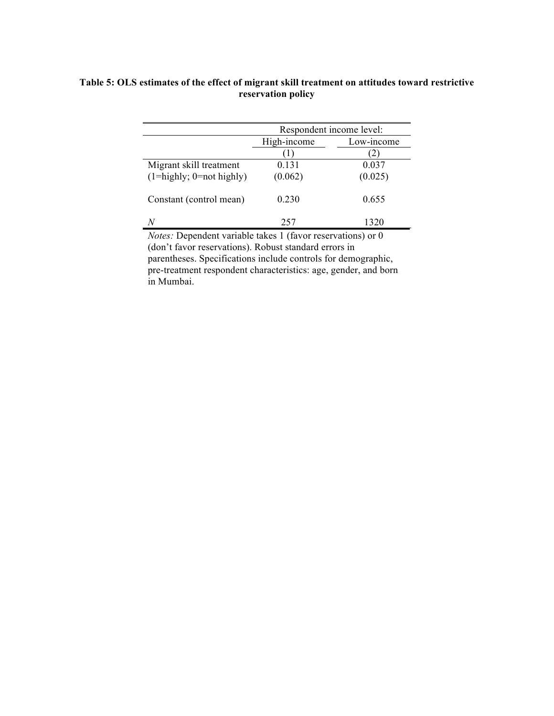|                                  | Respondent income level:  |                  |  |
|----------------------------------|---------------------------|------------------|--|
|                                  | High-income<br>Low-income |                  |  |
|                                  |                           | $\left 2\right $ |  |
| Migrant skill treatment          | 0.131                     | 0.037            |  |
| $(1 =$ highly; $0 =$ not highly) | (0.062)                   | (0.025)          |  |
| Constant (control mean)          | 0.230                     | 0.655            |  |
|                                  | 257                       | 1320             |  |

### **Table 5: OLS estimates of the effect of migrant skill treatment on attitudes toward restrictive reservation policy**

*Notes:* Dependent variable takes 1 (favor reservations) or 0 (don't favor reservations). Robust standard errors in parentheses. Specifications include controls for demographic, pre-treatment respondent characteristics: age, gender, and born in Mumbai.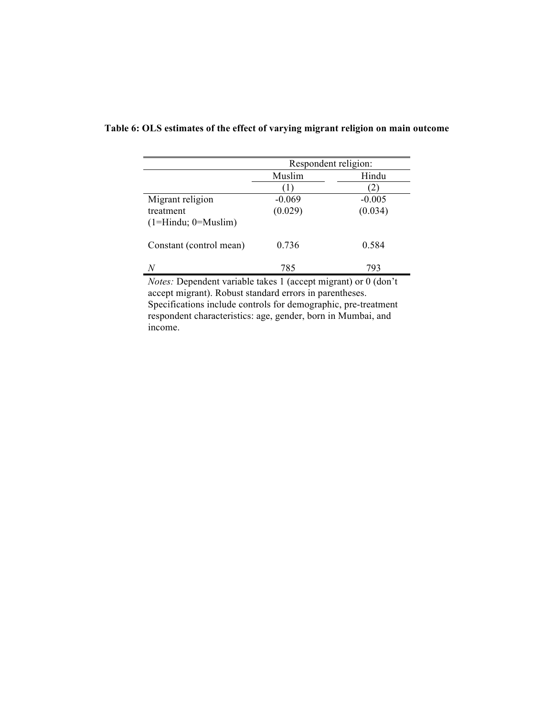|                                              | Respondent religion: |                                                                                                                        |
|----------------------------------------------|----------------------|------------------------------------------------------------------------------------------------------------------------|
|                                              | Muslim               | Hindu                                                                                                                  |
|                                              |                      |                                                                                                                        |
| Migrant religion                             | $-0.069$             | $-0.005$                                                                                                               |
| treatment                                    | (0.029)              | (0.034)                                                                                                                |
| $(1=Hindu; 0=Muslim)$                        |                      |                                                                                                                        |
| Constant (control mean)                      | 0.736                | 0.584                                                                                                                  |
| N<br>$1 \tcdot 1 \tcdot 1 \tcdot 1 \tcdot 1$ | 785                  | 793<br>the contract of the contract of the contract of the contract of the contract of the contract of the contract of |

# **Table 6: OLS estimates of the effect of varying migrant religion on main outcome**

*Notes:* Dependent variable takes 1 (accept migrant) or 0 (don't accept migrant). Robust standard errors in parentheses. Specifications include controls for demographic, pre-treatment respondent characteristics: age, gender, born in Mumbai, and income.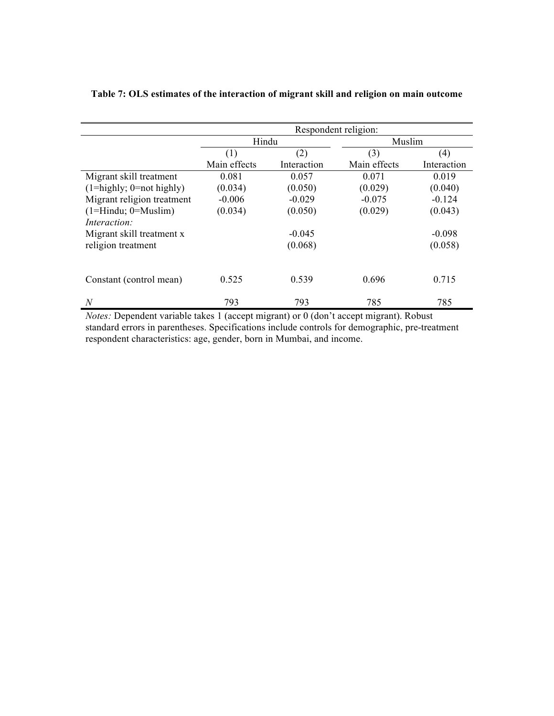|                                  | Respondent religion: |             |              |             |
|----------------------------------|----------------------|-------------|--------------|-------------|
|                                  | Hindu                |             | Muslim       |             |
|                                  | (1)                  | (2)         | (3)          | (4)         |
|                                  | Main effects         | Interaction | Main effects | Interaction |
| Migrant skill treatment          | 0.081                | 0.057       | 0.071        | 0.019       |
| $(1 =$ highly; $0 =$ not highly) | (0.034)              | (0.050)     | (0.029)      | (0.040)     |
| Migrant religion treatment       | $-0.006$             | $-0.029$    | $-0.075$     | $-0.124$    |
| $(1=Hindu; 0=Muslim)$            | (0.034)              | (0.050)     | (0.029)      | (0.043)     |
| Interaction:                     |                      |             |              |             |
| Migrant skill treatment x        |                      | $-0.045$    |              | $-0.098$    |
| religion treatment               |                      | (0.068)     |              | (0.058)     |
|                                  |                      |             |              |             |
| Constant (control mean)          | 0.525                | 0.539       | 0.696        | 0.715       |
| N                                | 793                  | 793         | 785          | 785         |

### **Table 7: OLS estimates of the interaction of migrant skill and religion on main outcome**

*Notes:* Dependent variable takes 1 (accept migrant) or 0 (don't accept migrant). Robust standard errors in parentheses. Specifications include controls for demographic, pre-treatment respondent characteristics: age, gender, born in Mumbai, and income.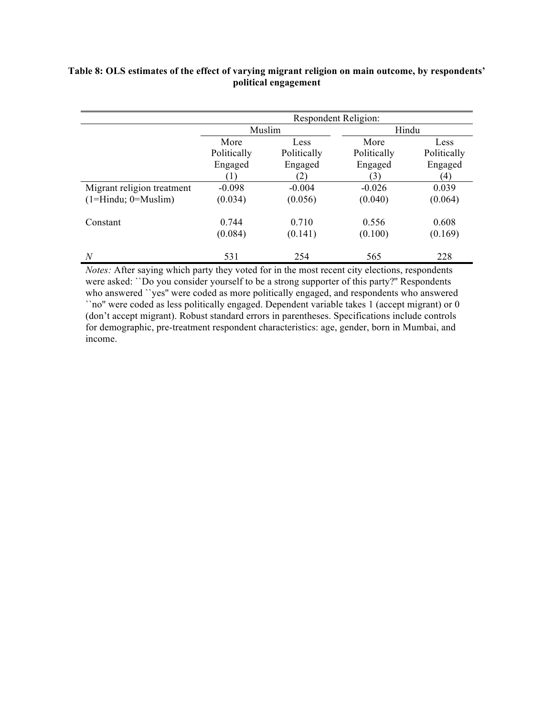| Table 8: OLS estimates of the effect of varying migrant religion on main outcome, by respondents' |
|---------------------------------------------------------------------------------------------------|
| political engagement                                                                              |

|                            |                  | Respondent Religion: |             |             |
|----------------------------|------------------|----------------------|-------------|-------------|
|                            | Muslim           |                      | Hindu       |             |
|                            | More             | Less                 | More        | Less        |
|                            | Politically      | Politically          | Politically | Politically |
|                            | Engaged          | Engaged              | Engaged     | Engaged     |
|                            | $\left(1\right)$ | (2)                  | (3)         | $^{\prime}$ |
| Migrant religion treatment | $-0.098$         | $-0.004$             | $-0.026$    | 0.039       |
| $(1=Hintu; 0=Muslim)$      | (0.034)          | (0.056)              | (0.040)     | (0.064)     |
| Constant                   | 0.744            | 0.710                | 0.556       | 0.608       |
|                            | (0.084)          | (0.141)              | (0.100)     | (0.169)     |
| N                          | 531              | 254                  | 565         | 228         |

*Notes:* After saying which party they voted for in the most recent city elections, respondents were asked: ``Do you consider yourself to be a strong supporter of this party?'' Respondents who answered ``yes'' were coded as more politically engaged, and respondents who answered ``no'' were coded as less politically engaged. Dependent variable takes 1 (accept migrant) or 0 (don't accept migrant). Robust standard errors in parentheses. Specifications include controls for demographic, pre-treatment respondent characteristics: age, gender, born in Mumbai, and income.